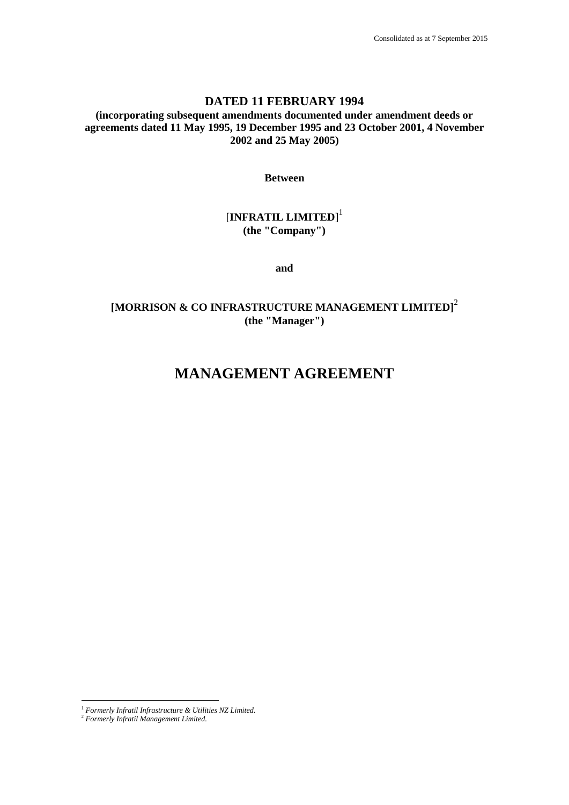## **DATED 11 FEBRUARY 1994**

**(incorporating subsequent amendments documented under amendment deeds or agreements dated 11 May 1995, 19 December 1995 and 23 October 2001, 4 November 2002 and 25 May 2005)**

**Between**

# [**INFRATIL LIMITED**] 1 **(the "Company")**

**and**

## **[MORRISON & CO INFRASTRUCTURE MANAGEMENT LIMITED]** 2 **(the "Manager")**

# **MANAGEMENT AGREEMENT**

<sup>1</sup> *Formerly Infratil Infrastructure & Utilities NZ Limited.*

<sup>2</sup> *Formerly Infratil Management Limited.*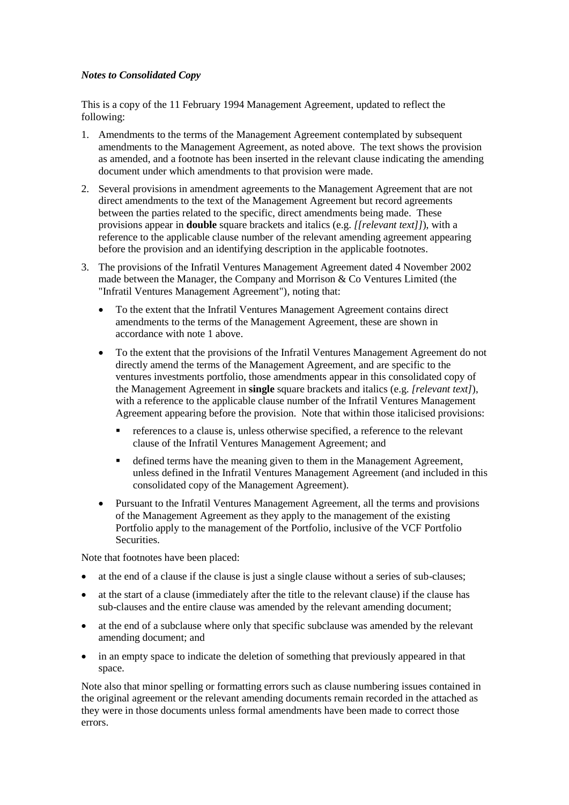#### *Notes to Consolidated Copy*

This is a copy of the 11 February 1994 Management Agreement, updated to reflect the following:

- 1. Amendments to the terms of the Management Agreement contemplated by subsequent amendments to the Management Agreement, as noted above. The text shows the provision as amended, and a footnote has been inserted in the relevant clause indicating the amending document under which amendments to that provision were made.
- 2. Several provisions in amendment agreements to the Management Agreement that are not direct amendments to the text of the Management Agreement but record agreements between the parties related to the specific, direct amendments being made. These provisions appear in **double** square brackets and italics (e.g. *[[relevant text]]*), with a reference to the applicable clause number of the relevant amending agreement appearing before the provision and an identifying description in the applicable footnotes.
- 3. The provisions of the Infratil Ventures Management Agreement dated 4 November 2002 made between the Manager, the Company and Morrison & Co Ventures Limited (the "Infratil Ventures Management Agreement"), noting that:
	- To the extent that the Infratil Ventures Management Agreement contains direct amendments to the terms of the Management Agreement, these are shown in accordance with note 1 above.
	- To the extent that the provisions of the Infratil Ventures Management Agreement do not directly amend the terms of the Management Agreement, and are specific to the ventures investments portfolio, those amendments appear in this consolidated copy of the Management Agreement in **single** square brackets and italics (e.g. *[relevant text]*), with a reference to the applicable clause number of the Infratil Ventures Management Agreement appearing before the provision. Note that within those italicised provisions:
		- references to a clause is, unless otherwise specified, a reference to the relevant clause of the Infratil Ventures Management Agreement; and
		- defined terms have the meaning given to them in the Management Agreement, unless defined in the Infratil Ventures Management Agreement (and included in this consolidated copy of the Management Agreement).
	- Pursuant to the Infratil Ventures Management Agreement, all the terms and provisions of the Management Agreement as they apply to the management of the existing Portfolio apply to the management of the Portfolio, inclusive of the VCF Portfolio Securities.

Note that footnotes have been placed:

- at the end of a clause if the clause is just a single clause without a series of sub-clauses;
- at the start of a clause (immediately after the title to the relevant clause) if the clause has sub-clauses and the entire clause was amended by the relevant amending document;
- at the end of a subclause where only that specific subclause was amended by the relevant amending document; and
- in an empty space to indicate the deletion of something that previously appeared in that space.

Note also that minor spelling or formatting errors such as clause numbering issues contained in the original agreement or the relevant amending documents remain recorded in the attached as they were in those documents unless formal amendments have been made to correct those errors.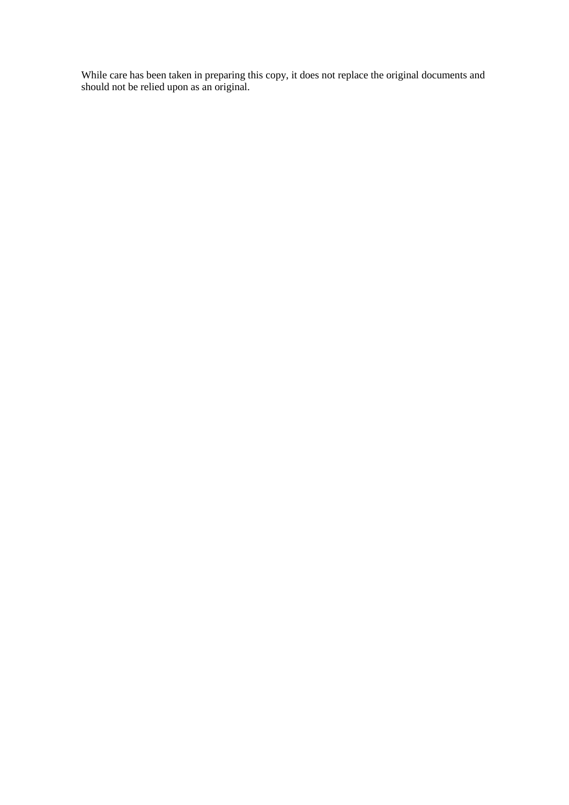While care has been taken in preparing this copy, it does not replace the original documents and should not be relied upon as an original.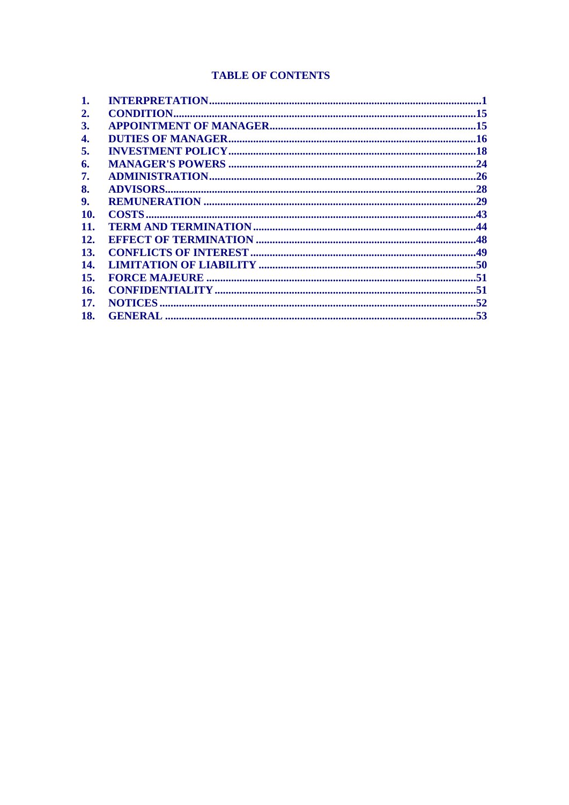# **TABLE OF CONTENTS**

| 1.         |  |
|------------|--|
| 2.         |  |
| <b>3.</b>  |  |
| 4.         |  |
| 5.         |  |
| 6.         |  |
| 7.         |  |
| 8.         |  |
| 9.         |  |
| 10.        |  |
| 11.        |  |
| <b>12.</b> |  |
| <b>13.</b> |  |
| 14.        |  |
| 15.        |  |
| 16.        |  |
| 17.        |  |
| 18.        |  |
|            |  |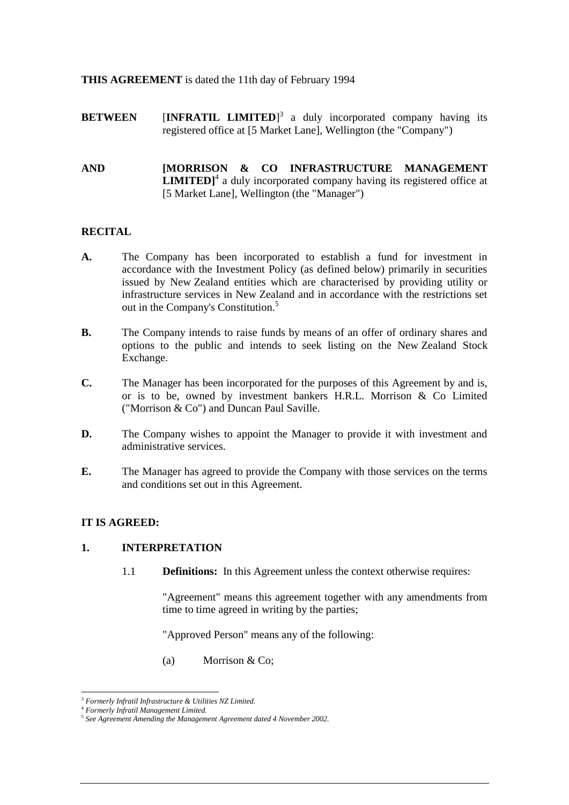#### **THIS AGREEMENT** is dated the 11th day of February 1994

**BETWEEN** [INFRATIL LIMITED]<sup>3</sup> a duly incorporated company having its registered office at [5 Market Lane], Wellington (the "Company")

#### **AND [MORRISON & CO INFRASTRUCTURE MANAGEMENT LIMITED**<sup>1</sup> a duly incorporated company having its registered office at [5 Market Lane], Wellington (the "Manager")

## **RECITAL**

- **A.** The Company has been incorporated to establish a fund for investment in accordance with the Investment Policy (as defined below) primarily in securities issued by New Zealand entities which are characterised by providing utility or infrastructure services in New Zealand and in accordance with the restrictions set out in the Company's Constitution.<sup>5</sup>
- **B.** The Company intends to raise funds by means of an offer of ordinary shares and options to the public and intends to seek listing on the New Zealand Stock Exchange.
- **C.** The Manager has been incorporated for the purposes of this Agreement by and is, or is to be, owned by investment bankers H.R.L. Morrison & Co Limited ("Morrison & Co") and Duncan Paul Saville.
- **D.** The Company wishes to appoint the Manager to provide it with investment and administrative services.
- **E.** The Manager has agreed to provide the Company with those services on the terms and conditions set out in this Agreement.

## **IT IS AGREED:**

#### **1. INTERPRETATION**

1.1 **Definitions:** In this Agreement unless the context otherwise requires:

"Agreement" means this agreement together with any amendments from time to time agreed in writing by the parties;

"Approved Person" means any of the following:

(a) Morrison & Co;

<sup>3</sup> *Formerly Infratil Infrastructure & Utilities NZ Limited.*

<sup>4</sup> *Formerly Infratil Management Limited.*

*<sup>5</sup> See Agreement Amending the Management Agreement dated 4 November 2002.*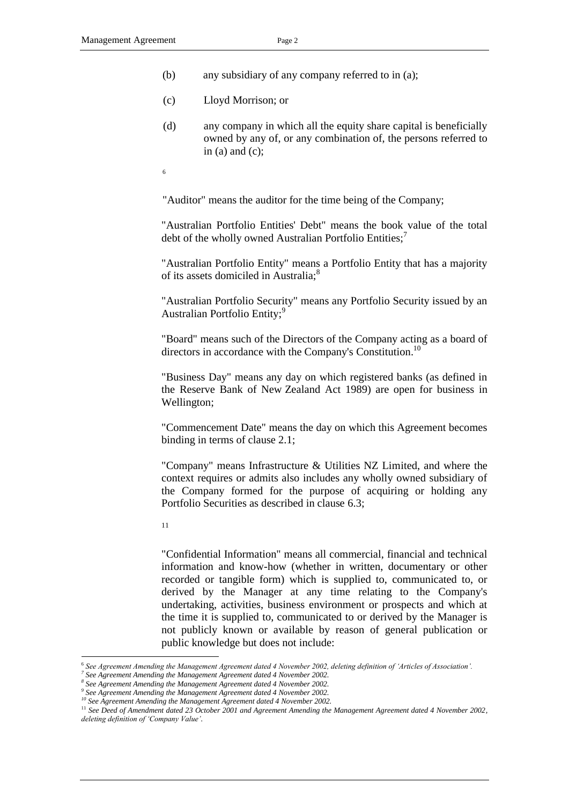- (b) any subsidiary of any company referred to in (a);
- (c) Lloyd Morrison; or
- (d) any company in which all the equity share capital is beneficially owned by any of, or any combination of, the persons referred to in  $(a)$  and  $(c)$ ;
- 6

"Auditor" means the auditor for the time being of the Company;

"Australian Portfolio Entities' Debt" means the book value of the total debt of the wholly owned Australian Portfolio Entities;<sup>7</sup>

"Australian Portfolio Entity" means a Portfolio Entity that has a majority of its assets domiciled in Australia;<sup>8</sup>

"Australian Portfolio Security" means any Portfolio Security issued by an Australian Portfolio Entity;<sup>9</sup>

"Board" means such of the Directors of the Company acting as a board of directors in accordance with the Company's Constitution.<sup>10</sup>

"Business Day" means any day on which registered banks (as defined in the Reserve Bank of New Zealand Act 1989) are open for business in Wellington;

"Commencement Date" means the day on which this Agreement becomes binding in terms of clause [2.1;](#page-18-0)

"Company" means Infrastructure & Utilities NZ Limited, and where the context requires or admits also includes any wholly owned subsidiary of the Company formed for the purpose of acquiring or holding any Portfolio Securities as described in clause [6.3;](#page-28-0)

11

-

"Confidential Information" means all commercial, financial and technical information and know-how (whether in written, documentary or other recorded or tangible form) which is supplied to, communicated to, or derived by the Manager at any time relating to the Company's undertaking, activities, business environment or prospects and which at the time it is supplied to, communicated to or derived by the Manager is not publicly known or available by reason of general publication or public knowledge but does not include:

<sup>6</sup> *See Agreement Amending the Management Agreement dated 4 November 2002, deleting definition of 'Articles of Association'.*

*<sup>7</sup> See Agreement Amending the Management Agreement dated 4 November 2002.*

<sup>&</sup>lt;sup>8</sup> See Agreement Amending the Management Agreement dated 4 November 2002.<br><sup>9</sup> See Agreement Amending the Management Agreement dated 4 November 2002.

*See Agreement Amending the Management Agreement dated 4 November 2002.*

*<sup>10</sup> See Agreement Amending the Management Agreement dated 4 November 2002.*

<sup>&</sup>lt;sup>11</sup> See Deed of Amendment dated 23 October 2001 and Agreement Amending the Management Agreement dated 4 November 2002, *deleting definition of 'Company Value'.*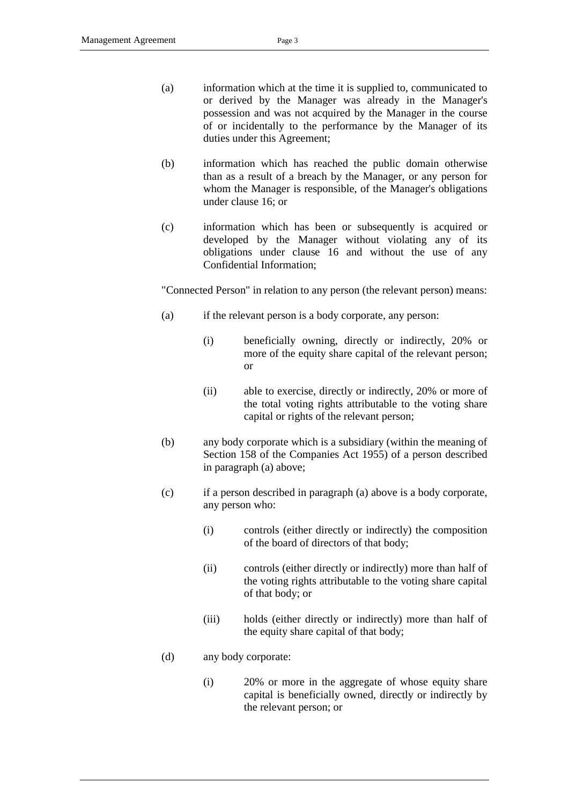- (a) information which at the time it is supplied to, communicated to or derived by the Manager was already in the Manager's possession and was not acquired by the Manager in the course of or incidentally to the performance by the Manager of its duties under this Agreement;
- (b) information which has reached the public domain otherwise than as a result of a breach by the Manager, or any person for whom the Manager is responsible, of the Manager's obligations under clause [16;](#page-54-0) or
- (c) information which has been or subsequently is acquired or developed by the Manager without violating any of its obligations under clause [16](#page-54-0) and without the use of any Confidential Information;

"Connected Person" in relation to any person (the relevant person) means:

- (a) if the relevant person is a body corporate, any person:
	- (i) beneficially owning, directly or indirectly, 20% or more of the equity share capital of the relevant person; or
	- (ii) able to exercise, directly or indirectly, 20% or more of the total voting rights attributable to the voting share capital or rights of the relevant person;
- (b) any body corporate which is a subsidiary (within the meaning of Section 158 of the Companies Act 1955) of a person described in paragraph (a) above;
- (c) if a person described in paragraph (a) above is a body corporate, any person who:
	- (i) controls (either directly or indirectly) the composition of the board of directors of that body;
	- (ii) controls (either directly or indirectly) more than half of the voting rights attributable to the voting share capital of that body; or
	- (iii) holds (either directly or indirectly) more than half of the equity share capital of that body;
- (d) any body corporate:
	- (i) 20% or more in the aggregate of whose equity share capital is beneficially owned, directly or indirectly by the relevant person; or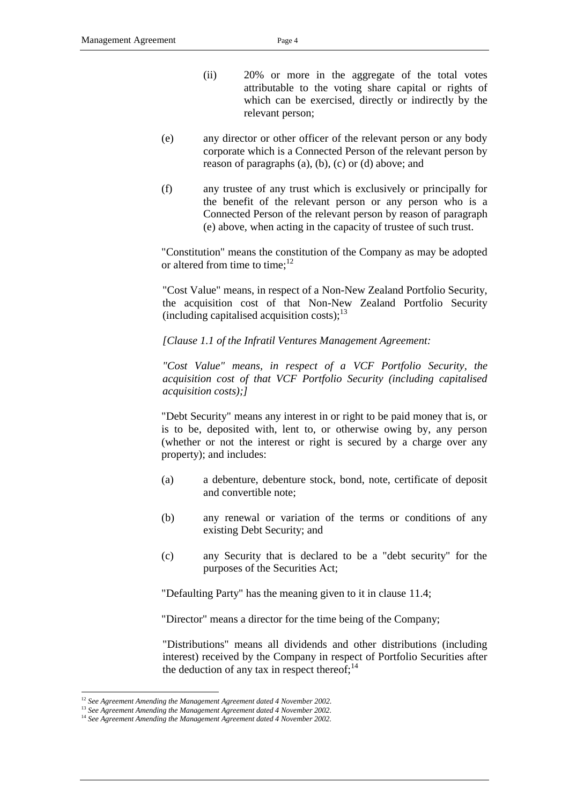- (ii) 20% or more in the aggregate of the total votes attributable to the voting share capital or rights of which can be exercised, directly or indirectly by the relevant person;
- (e) any director or other officer of the relevant person or any body corporate which is a Connected Person of the relevant person by reason of paragraphs (a), (b), (c) or (d) above; and
- (f) any trustee of any trust which is exclusively or principally for the benefit of the relevant person or any person who is a Connected Person of the relevant person by reason of paragraph (e) above, when acting in the capacity of trustee of such trust.

"Constitution" means the constitution of the Company as may be adopted or altered from time to time; $^{12}$ 

"Cost Value" means, in respect of a Non-New Zealand Portfolio Security, the acquisition cost of that Non-New Zealand Portfolio Security (including capitalised acquisition costs); $^{13}$ 

*[Clause 1.1 of the Infratil Ventures Management Agreement:*

*"Cost Value" means, in respect of a VCF Portfolio Security, the acquisition cost of that VCF Portfolio Security (including capitalised acquisition costs);]*

"Debt Security" means any interest in or right to be paid money that is, or is to be, deposited with, lent to, or otherwise owing by, any person (whether or not the interest or right is secured by a charge over any property); and includes:

- (a) a debenture, debenture stock, bond, note, certificate of deposit and convertible note;
- (b) any renewal or variation of the terms or conditions of any existing Debt Security; and
- (c) any Security that is declared to be a "debt security" for the purposes of the Securities Act;

"Defaulting Party" has the meaning given to it in clause [11.4;](#page-48-0)

"Director" means a director for the time being of the Company;

"Distributions" means all dividends and other distributions (including interest) received by the Company in respect of Portfolio Securities after the deduction of any tax in respect thereof; $^{14}$ 

<sup>12</sup> *See Agreement Amending the Management Agreement dated 4 November 2002.*

<sup>13</sup> *See Agreement Amending the Management Agreement dated 4 November 2002.*

<sup>14</sup> *See Agreement Amending the Management Agreement dated 4 November 2002.*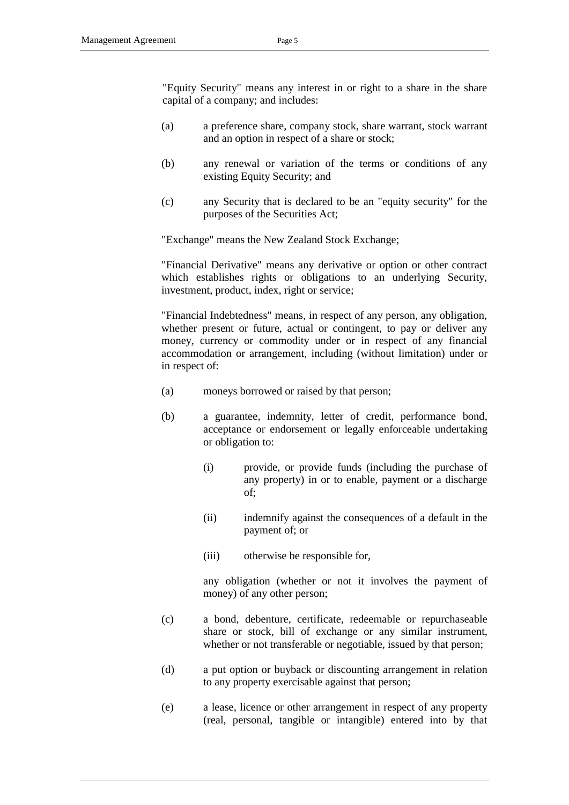"Equity Security" means any interest in or right to a share in the share capital of a company; and includes:

- (a) a preference share, company stock, share warrant, stock warrant and an option in respect of a share or stock;
- (b) any renewal or variation of the terms or conditions of any existing Equity Security; and
- (c) any Security that is declared to be an "equity security" for the purposes of the Securities Act;

"Exchange" means the New Zealand Stock Exchange;

"Financial Derivative" means any derivative or option or other contract which establishes rights or obligations to an underlying Security, investment, product, index, right or service;

"Financial Indebtedness" means, in respect of any person, any obligation, whether present or future, actual or contingent, to pay or deliver any money, currency or commodity under or in respect of any financial accommodation or arrangement, including (without limitation) under or in respect of:

- (a) moneys borrowed or raised by that person;
- (b) a guarantee, indemnity, letter of credit, performance bond, acceptance or endorsement or legally enforceable undertaking or obligation to:
	- (i) provide, or provide funds (including the purchase of any property) in or to enable, payment or a discharge of;
	- (ii) indemnify against the consequences of a default in the payment of; or
	- (iii) otherwise be responsible for,

any obligation (whether or not it involves the payment of money) of any other person;

- (c) a bond, debenture, certificate, redeemable or repurchaseable share or stock, bill of exchange or any similar instrument, whether or not transferable or negotiable, issued by that person;
- (d) a put option or buyback or discounting arrangement in relation to any property exercisable against that person;
- (e) a lease, licence or other arrangement in respect of any property (real, personal, tangible or intangible) entered into by that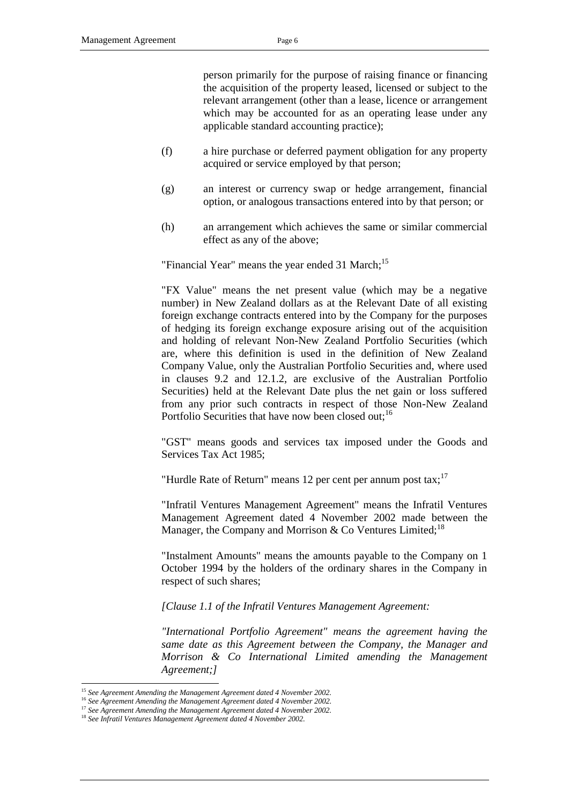person primarily for the purpose of raising finance or financing the acquisition of the property leased, licensed or subject to the relevant arrangement (other than a lease, licence or arrangement which may be accounted for as an operating lease under any applicable standard accounting practice);

- (f) a hire purchase or deferred payment obligation for any property acquired or service employed by that person;
- (g) an interest or currency swap or hedge arrangement, financial option, or analogous transactions entered into by that person; or
- (h) an arrangement which achieves the same or similar commercial effect as any of the above;

"Financial Year" means the year ended 31 March;<sup>15</sup>

"FX Value" means the net present value (which may be a negative number) in New Zealand dollars as at the Relevant Date of all existing foreign exchange contracts entered into by the Company for the purposes of hedging its foreign exchange exposure arising out of the acquisition and holding of relevant Non-New Zealand Portfolio Securities (which are, where this definition is used in the definition of New Zealand Company Value, only the Australian Portfolio Securities and, where used in clauses 9.2 and 12.1.2, are exclusive of the Australian Portfolio Securities) held at the Relevant Date plus the net gain or loss suffered from any prior such contracts in respect of those Non-New Zealand Portfolio Securities that have now been closed out;<sup>16</sup>

"GST" means goods and services tax imposed under the Goods and Services Tax Act 1985;

"Hurdle Rate of Return" means 12 per cent per annum post tax;  $17$ 

"Infratil Ventures Management Agreement" means the Infratil Ventures Management Agreement dated 4 November 2002 made between the Manager, the Company and Morrison & Co Ventures Limited;<sup>18</sup>

"Instalment Amounts" means the amounts payable to the Company on 1 October 1994 by the holders of the ordinary shares in the Company in respect of such shares;

*[Clause 1.1 of the Infratil Ventures Management Agreement:*

*"International Portfolio Agreement" means the agreement having the same date as this Agreement between the Company, the Manager and Morrison & Co International Limited amending the Management Agreement;]*

<sup>15</sup> *See Agreement Amending the Management Agreement dated 4 November 2002.*

<sup>16</sup> *See Agreement Amending the Management Agreement dated 4 November 2002.*

<sup>17</sup> *See Agreement Amending the Management Agreement dated 4 November 2002.*

<sup>18</sup> *See Infratil Ventures Management Agreement dated 4 November 2002.*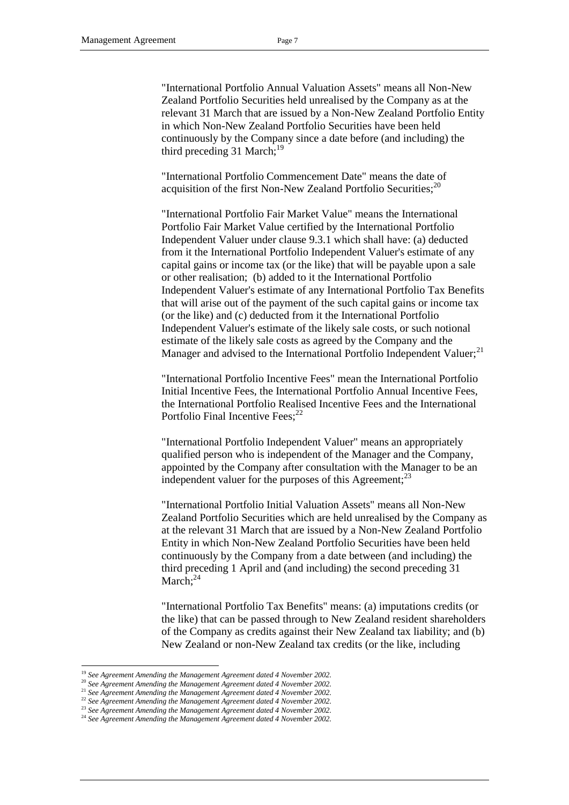"International Portfolio Annual Valuation Assets" means all Non-New Zealand Portfolio Securities held unrealised by the Company as at the relevant 31 March that are issued by a Non-New Zealand Portfolio Entity in which Non-New Zealand Portfolio Securities have been held continuously by the Company since a date before (and including) the third preceding 31 March;<sup>19</sup>

"International Portfolio Commencement Date" means the date of acquisition of the first Non-New Zealand Portfolio Securities; $^{20}$ 

"International Portfolio Fair Market Value" means the International Portfolio Fair Market Value certified by the International Portfolio Independent Valuer under clause 9.3.1 which shall have: (a) deducted from it the International Portfolio Independent Valuer's estimate of any capital gains or income tax (or the like) that will be payable upon a sale or other realisation; (b) added to it the International Portfolio Independent Valuer's estimate of any International Portfolio Tax Benefits that will arise out of the payment of the such capital gains or income tax (or the like) and (c) deducted from it the International Portfolio Independent Valuer's estimate of the likely sale costs, or such notional estimate of the likely sale costs as agreed by the Company and the Manager and advised to the International Portfolio Independent Valuer;<sup>21</sup>

"International Portfolio Incentive Fees" mean the International Portfolio Initial Incentive Fees, the International Portfolio Annual Incentive Fees, the International Portfolio Realised Incentive Fees and the International Portfolio Final Incentive Fees; $^{22}$ 

"International Portfolio Independent Valuer" means an appropriately qualified person who is independent of the Manager and the Company, appointed by the Company after consultation with the Manager to be an independent valuer for the purposes of this Agreement; $^{23}$ 

"International Portfolio Initial Valuation Assets" means all Non-New Zealand Portfolio Securities which are held unrealised by the Company as at the relevant 31 March that are issued by a Non-New Zealand Portfolio Entity in which Non-New Zealand Portfolio Securities have been held continuously by the Company from a date between (and including) the third preceding 1 April and (and including) the second preceding 31 March: $^{24}$ 

"International Portfolio Tax Benefits" means: (a) imputations credits (or the like) that can be passed through to New Zealand resident shareholders of the Company as credits against their New Zealand tax liability; and (b) New Zealand or non-New Zealand tax credits (or the like, including

<sup>19</sup> *See Agreement Amending the Management Agreement dated 4 November 2002.*

<sup>20</sup> *See Agreement Amending the Management Agreement dated 4 November 2002.*

<sup>21</sup> *See Agreement Amending the Management Agreement dated 4 November 2002.*

<sup>22</sup> *See Agreement Amending the Management Agreement dated 4 November 2002.*

<sup>23</sup> *See Agreement Amending the Management Agreement dated 4 November 2002.*

<sup>24</sup> *See Agreement Amending the Management Agreement dated 4 November 2002.*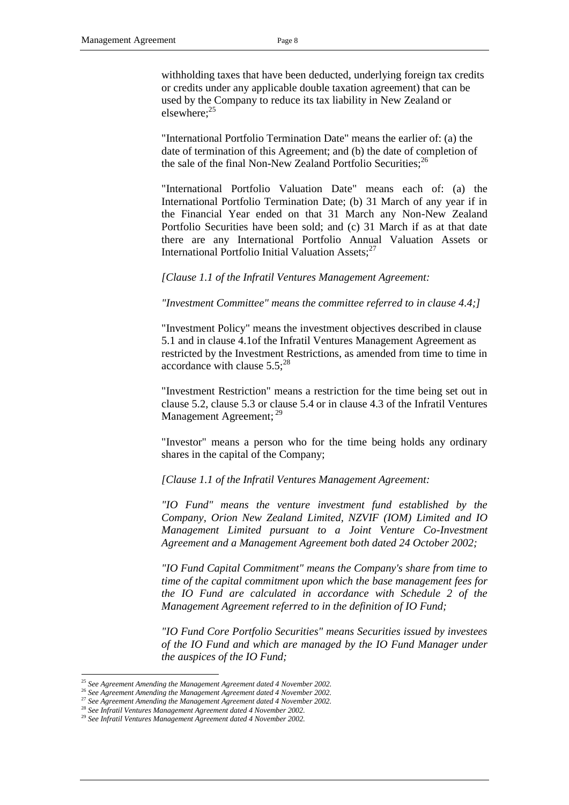withholding taxes that have been deducted, underlying foreign tax credits or credits under any applicable double taxation agreement) that can be used by the Company to reduce its tax liability in New Zealand or elsewhere: $25$ 

"International Portfolio Termination Date" means the earlier of: (a) the date of termination of this Agreement; and (b) the date of completion of the sale of the final Non-New Zealand Portfolio Securities; $^{26}$ 

"International Portfolio Valuation Date" means each of: (a) the International Portfolio Termination Date; (b) 31 March of any year if in the Financial Year ended on that 31 March any Non-New Zealand Portfolio Securities have been sold; and (c) 31 March if as at that date there are any International Portfolio Annual Valuation Assets or International Portfolio Initial Valuation Assets;<sup>27</sup>

*[Clause 1.1 of the Infratil Ventures Management Agreement:*

*"Investment Committee" means the committee referred to in clause 4.4;]*

"Investment Policy" means the investment objectives described in clause 5.1 and in clause 4.1of the Infratil Ventures Management Agreement as restricted by the Investment Restrictions, as amended from time to time in accordance with clause  $5.5$ ;<sup>28</sup>

"Investment Restriction" means a restriction for the time being set out in clause [5.2,](#page-22-0) clause [5.3](#page-23-0) or clause [5.4](#page-26-0) or in clause 4.3 of the Infratil Ventures Management Agreement;<sup>29</sup>

"Investor" means a person who for the time being holds any ordinary shares in the capital of the Company;

*[Clause 1.1 of the Infratil Ventures Management Agreement:*

*"IO Fund" means the venture investment fund established by the Company, Orion New Zealand Limited, NZVIF (IOM) Limited and IO Management Limited pursuant to a Joint Venture Co-Investment Agreement and a Management Agreement both dated 24 October 2002;*

*"IO Fund Capital Commitment" means the Company's share from time to time of the capital commitment upon which the base management fees for the IO Fund are calculated in accordance with Schedule 2 of the Management Agreement referred to in the definition of IO Fund;* 

*"IO Fund Core Portfolio Securities" means Securities issued by investees of the IO Fund and which are managed by the IO Fund Manager under the auspices of the IO Fund;*

<sup>25</sup> *See Agreement Amending the Management Agreement dated 4 November 2002.*

<sup>26</sup> *See Agreement Amending the Management Agreement dated 4 November 2002.*

<sup>27</sup> *See Agreement Amending the Management Agreement dated 4 November 2002.*

<sup>28</sup> *See Infratil Ventures Management Agreement dated 4 November 2002.*

<sup>29</sup> *See Infratil Ventures Management Agreement dated 4 November 2002.*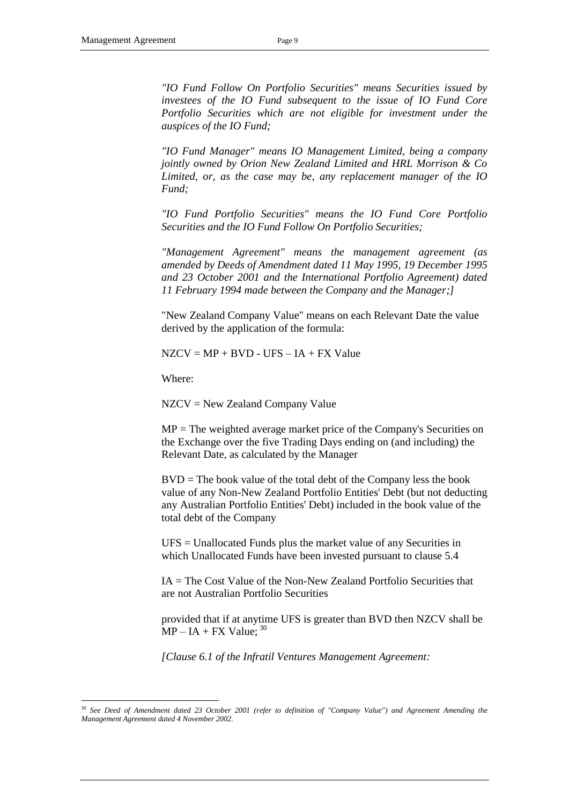*"IO Fund Follow On Portfolio Securities" means Securities issued by investees of the IO Fund subsequent to the issue of IO Fund Core Portfolio Securities which are not eligible for investment under the auspices of the IO Fund;*

*"IO Fund Manager" means IO Management Limited, being a company jointly owned by Orion New Zealand Limited and HRL Morrison & Co Limited, or, as the case may be, any replacement manager of the IO Fund;*

*"IO Fund Portfolio Securities" means the IO Fund Core Portfolio Securities and the IO Fund Follow On Portfolio Securities;*

*"Management Agreement" means the management agreement (as amended by Deeds of Amendment dated 11 May 1995, 19 December 1995 and 23 October 2001 and the International Portfolio Agreement) dated 11 February 1994 made between the Company and the Manager;]*

"New Zealand Company Value" means on each Relevant Date the value derived by the application of the formula:

 $NZCV = MP + BVD - UFS - IA + FX Value$ 

Where:

-

NZCV = New Zealand Company Value

MP = The weighted average market price of the Company's Securities on the Exchange over the five Trading Days ending on (and including) the Relevant Date, as calculated by the Manager

BVD = The book value of the total debt of the Company less the book value of any Non-New Zealand Portfolio Entities' Debt (but not deducting any Australian Portfolio Entities' Debt) included in the book value of the total debt of the Company

UFS = Unallocated Funds plus the market value of any Securities in which Unallocated Funds have been invested pursuant to clause 5.4

 $IA = The Cost Value of the Non-New Zealand Portfolio Securities that$ are not Australian Portfolio Securities

provided that if at anytime UFS is greater than BVD then NZCV shall be  $MP - IA + FX Value;$ <sup>30</sup>

*[Clause 6.1 of the Infratil Ventures Management Agreement:*

<sup>30</sup> *See Deed of Amendment dated 23 October 2001 (refer to definition of "Company Value") and Agreement Amending the Management Agreement dated 4 November 2002.*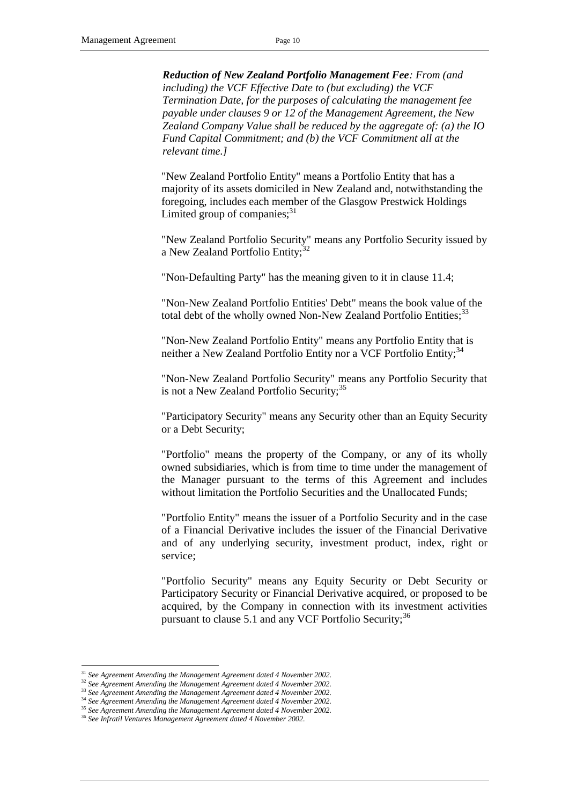*Reduction of New Zealand Portfolio Management Fee: From (and including) the VCF Effective Date to (but excluding) the VCF Termination Date, for the purposes of calculating the management fee payable under clauses 9 or 12 of the Management Agreement, the New Zealand Company Value shall be reduced by the aggregate of: (a) the IO Fund Capital Commitment; and (b) the VCF Commitment all at the relevant time.]*

"New Zealand Portfolio Entity" means a Portfolio Entity that has a majority of its assets domiciled in New Zealand and, notwithstanding the foregoing, includes each member of the Glasgow Prestwick Holdings Limited group of companies; $31$ 

"New Zealand Portfolio Security" means any Portfolio Security issued by a New Zealand Portfolio Entity;<sup>3</sup>

"Non-Defaulting Party" has the meaning given to it in clause [11.4;](#page-48-0)

"Non-New Zealand Portfolio Entities' Debt" means the book value of the total debt of the wholly owned Non-New Zealand Portfolio Entities;<sup>33</sup>

"Non-New Zealand Portfolio Entity" means any Portfolio Entity that is neither a New Zealand Portfolio Entity nor a VCF Portfolio Entity;<sup>34</sup>

"Non-New Zealand Portfolio Security" means any Portfolio Security that is not a New Zealand Portfolio Security;  $35$ 

"Participatory Security" means any Security other than an Equity Security or a Debt Security;

"Portfolio" means the property of the Company, or any of its wholly owned subsidiaries, which is from time to time under the management of the Manager pursuant to the terms of this Agreement and includes without limitation the Portfolio Securities and the Unallocated Funds;

"Portfolio Entity" means the issuer of a Portfolio Security and in the case of a Financial Derivative includes the issuer of the Financial Derivative and of any underlying security, investment product, index, right or service;

"Portfolio Security" means any Equity Security or Debt Security or Participatory Security or Financial Derivative acquired, or proposed to be acquired, by the Company in connection with its investment activities pursuant to clause 5.1 and any VCF Portfolio Security;<sup>36</sup>

<sup>31</sup> *See Agreement Amending the Management Agreement dated 4 November 2002.*

<sup>&</sup>lt;sup>32</sup> See Agreement Amending the Management Agreement dated 4 November 2002.

<sup>33</sup> *See Agreement Amending the Management Agreement dated 4 November 2002.*

<sup>34</sup> *See Agreement Amending the Management Agreement dated 4 November 2002.*

<sup>35</sup> *See Agreement Amending the Management Agreement dated 4 November 2002.*

<sup>36</sup> *See Infratil Ventures Management Agreement dated 4 November 2002.*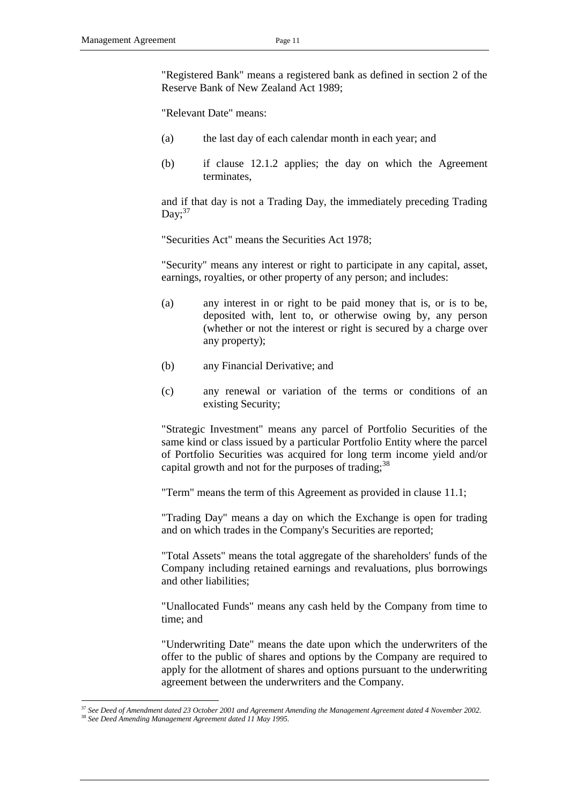"Registered Bank" means a registered bank as defined in section 2 of the Reserve Bank of New Zealand Act 1989;

"Relevant Date" means:

- (a) the last day of each calendar month in each year; and
- (b) if clause 12.1.2 applies; the day on which the Agreement terminates,

and if that day is not a Trading Day, the immediately preceding Trading Day; $37$ 

"Securities Act" means the Securities Act 1978;

"Security" means any interest or right to participate in any capital, asset, earnings, royalties, or other property of any person; and includes:

- (a) any interest in or right to be paid money that is, or is to be, deposited with, lent to, or otherwise owing by, any person (whether or not the interest or right is secured by a charge over any property);
- (b) any Financial Derivative; and
- (c) any renewal or variation of the terms or conditions of an existing Security;

"Strategic Investment" means any parcel of Portfolio Securities of the same kind or class issued by a particular Portfolio Entity where the parcel of Portfolio Securities was acquired for long term income yield and/or capital growth and not for the purposes of trading;  $38$ 

"Term" means the term of this Agreement as provided in clause [11.1;](#page-47-0)

"Trading Day" means a day on which the Exchange is open for trading and on which trades in the Company's Securities are reported;

"Total Assets" means the total aggregate of the shareholders' funds of the Company including retained earnings and revaluations, plus borrowings and other liabilities;

"Unallocated Funds" means any cash held by the Company from time to time; and

"Underwriting Date" means the date upon which the underwriters of the offer to the public of shares and options by the Company are required to apply for the allotment of shares and options pursuant to the underwriting agreement between the underwriters and the Company.

<sup>-</sup><sup>37</sup> *See Deed of Amendment dated 23 October 2001 and Agreement Amending the Management Agreement dated 4 November 2002.* <sup>38</sup> *See Deed Amending Management Agreement dated 11 May 1995.*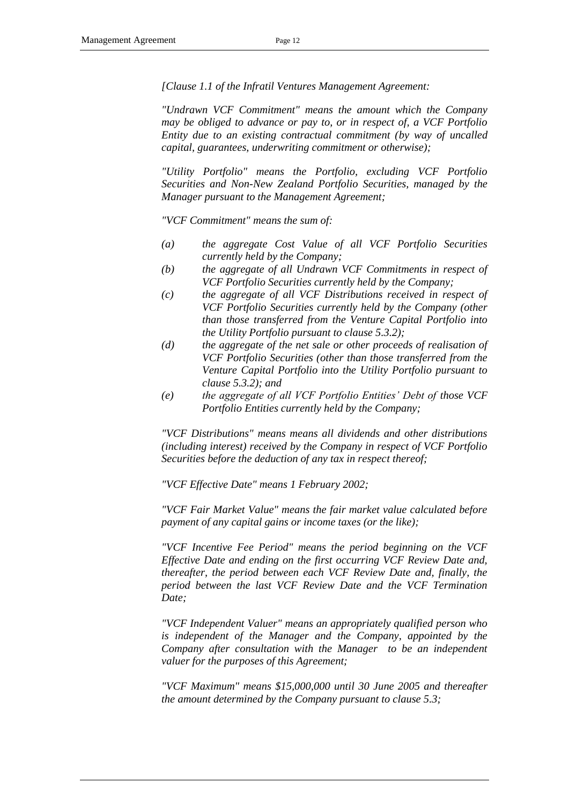*[Clause 1.1 of the Infratil Ventures Management Agreement:*

*"Undrawn VCF Commitment" means the amount which the Company may be obliged to advance or pay to, or in respect of, a VCF Portfolio Entity due to an existing contractual commitment (by way of uncalled capital, guarantees, underwriting commitment or otherwise);*

*"Utility Portfolio" means the Portfolio, excluding VCF Portfolio Securities and Non-New Zealand Portfolio Securities, managed by the Manager pursuant to the Management Agreement;*

*"VCF Commitment" means the sum of:*

- *(a) the aggregate Cost Value of all VCF Portfolio Securities currently held by the Company;*
- *(b) the aggregate of all Undrawn VCF Commitments in respect of VCF Portfolio Securities currently held by the Company;*
- *(c) the aggregate of all VCF Distributions received in respect of VCF Portfolio Securities currently held by the Company (other than those transferred from the Venture Capital Portfolio into the Utility Portfolio pursuant to clause 5.3.2);*
- *(d) the aggregate of the net sale or other proceeds of realisation of VCF Portfolio Securities (other than those transferred from the Venture Capital Portfolio into the Utility Portfolio pursuant to clause 5.3.2); and*
- *(e) the aggregate of all VCF Portfolio Entities' Debt of those VCF Portfolio Entities currently held by the Company;*

*"VCF Distributions" means means all dividends and other distributions (including interest) received by the Company in respect of VCF Portfolio Securities before the deduction of any tax in respect thereof;*

*"VCF Effective Date" means 1 February 2002;*

*"VCF Fair Market Value" means the fair market value calculated before payment of any capital gains or income taxes (or the like);*

*"VCF Incentive Fee Period" means the period beginning on the VCF Effective Date and ending on the first occurring VCF Review Date and, thereafter, the period between each VCF Review Date and, finally, the period between the last VCF Review Date and the VCF Termination Date;*

*"VCF Independent Valuer" means an appropriately qualified person who is independent of the Manager and the Company, appointed by the Company after consultation with the Manager to be an independent valuer for the purposes of this Agreement;*

*"VCF Maximum" means \$15,000,000 until 30 June 2005 and thereafter the amount determined by the Company pursuant to clause 5.3;*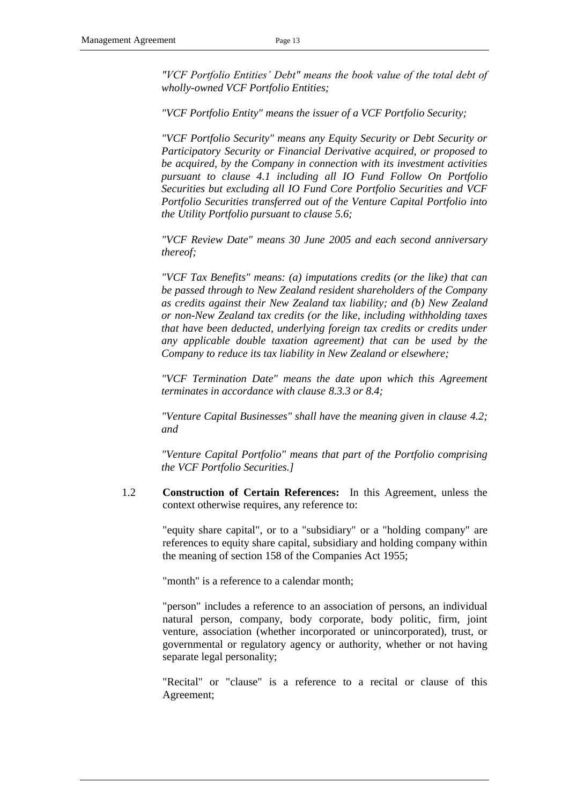*"VCF Portfolio Entities' Debt" means the book value of the total debt of wholly-owned VCF Portfolio Entities;*

*"VCF Portfolio Entity" means the issuer of a VCF Portfolio Security;* 

*"VCF Portfolio Security" means any Equity Security or Debt Security or Participatory Security or Financial Derivative acquired, or proposed to be acquired, by the Company in connection with its investment activities pursuant to clause 4.1 including all IO Fund Follow On Portfolio Securities but excluding all IO Fund Core Portfolio Securities and VCF Portfolio Securities transferred out of the Venture Capital Portfolio into the Utility Portfolio pursuant to clause 5.6;*

*"VCF Review Date" means 30 June 2005 and each second anniversary thereof;*

*"VCF Tax Benefits" means: (a) imputations credits (or the like) that can be passed through to New Zealand resident shareholders of the Company as credits against their New Zealand tax liability; and (b) New Zealand or non-New Zealand tax credits (or the like, including withholding taxes that have been deducted, underlying foreign tax credits or credits under any applicable double taxation agreement) that can be used by the Company to reduce its tax liability in New Zealand or elsewhere;*

*"VCF Termination Date" means the date upon which this Agreement terminates in accordance with clause 8.3.3 or 8.4;*

*"Venture Capital Businesses" shall have the meaning given in clause 4.2; and* 

*"Venture Capital Portfolio" means that part of the Portfolio comprising the VCF Portfolio Securities.]*

1.2 **Construction of Certain References:** In this Agreement, unless the context otherwise requires, any reference to:

> "equity share capital", or to a "subsidiary" or a "holding company" are references to equity share capital, subsidiary and holding company within the meaning of section 158 of the Companies Act 1955;

"month" is a reference to a calendar month;

"person" includes a reference to an association of persons, an individual natural person, company, body corporate, body politic, firm, joint venture, association (whether incorporated or unincorporated), trust, or governmental or regulatory agency or authority, whether or not having separate legal personality;

"Recital" or "clause" is a reference to a recital or clause of this Agreement;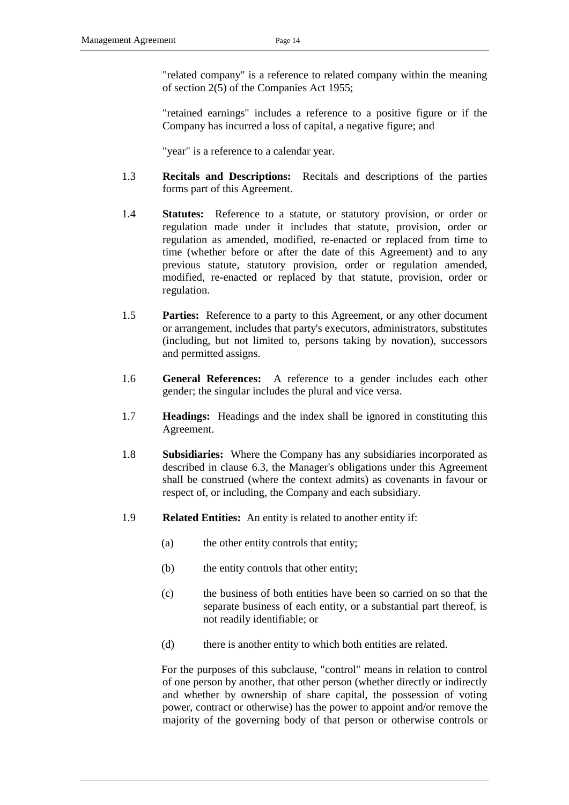"related company" is a reference to related company within the meaning of section 2(5) of the Companies Act 1955;

"retained earnings" includes a reference to a positive figure or if the Company has incurred a loss of capital, a negative figure; and

"year" is a reference to a calendar year.

- 1.3 **Recitals and Descriptions:** Recitals and descriptions of the parties forms part of this Agreement.
- 1.4 **Statutes:** Reference to a statute, or statutory provision, or order or regulation made under it includes that statute, provision, order or regulation as amended, modified, re-enacted or replaced from time to time (whether before or after the date of this Agreement) and to any previous statute, statutory provision, order or regulation amended, modified, re-enacted or replaced by that statute, provision, order or regulation.
- 1.5 **Parties:** Reference to a party to this Agreement, or any other document or arrangement, includes that party's executors, administrators, substitutes (including, but not limited to, persons taking by novation), successors and permitted assigns.
- 1.6 **General References:** A reference to a gender includes each other gender; the singular includes the plural and vice versa.
- 1.7 **Headings:** Headings and the index shall be ignored in constituting this Agreement.
- 1.8 **Subsidiaries:** Where the Company has any subsidiaries incorporated as described in clause [6.3,](#page-28-0) the Manager's obligations under this Agreement shall be construed (where the context admits) as covenants in favour or respect of, or including, the Company and each subsidiary.
- 1.9 **Related Entities:** An entity is related to another entity if:
	- (a) the other entity controls that entity;
	- (b) the entity controls that other entity;
	- (c) the business of both entities have been so carried on so that the separate business of each entity, or a substantial part thereof, is not readily identifiable; or
	- (d) there is another entity to which both entities are related.

For the purposes of this subclause, "control" means in relation to control of one person by another, that other person (whether directly or indirectly and whether by ownership of share capital, the possession of voting power, contract or otherwise) has the power to appoint and/or remove the majority of the governing body of that person or otherwise controls or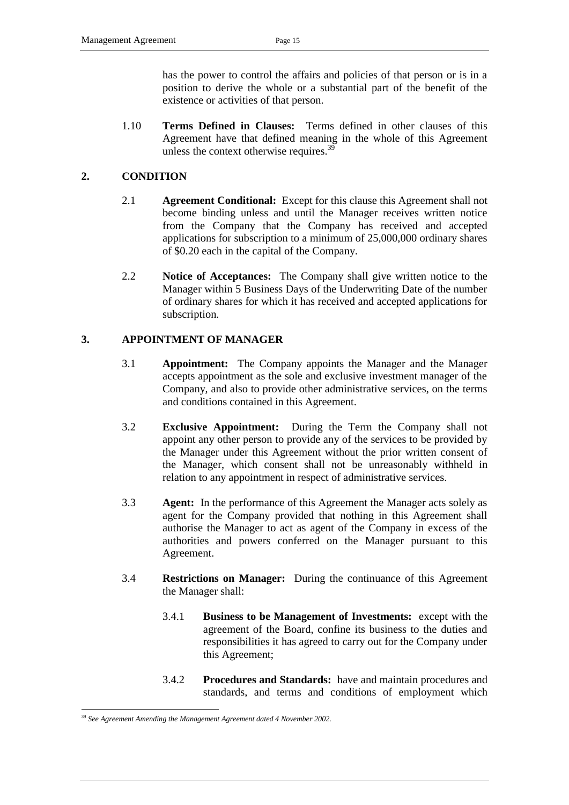has the power to control the affairs and policies of that person or is in a position to derive the whole or a substantial part of the benefit of the existence or activities of that person.

1.10 **Terms Defined in Clauses:** Terms defined in other clauses of this Agreement have that defined meaning in the whole of this Agreement unless the context otherwise requires.<sup>39</sup>

#### <span id="page-18-0"></span>**2. CONDITION**

- 2.1 **Agreement Conditional:** Except for this clause this Agreement shall not become binding unless and until the Manager receives written notice from the Company that the Company has received and accepted applications for subscription to a minimum of 25,000,000 ordinary shares of \$0.20 each in the capital of the Company.
- 2.2 **Notice of Acceptances:** The Company shall give written notice to the Manager within 5 Business Days of the Underwriting Date of the number of ordinary shares for which it has received and accepted applications for subscription.

#### **3. APPOINTMENT OF MANAGER**

- 3.1 **Appointment:** The Company appoints the Manager and the Manager accepts appointment as the sole and exclusive investment manager of the Company, and also to provide other administrative services, on the terms and conditions contained in this Agreement.
- 3.2 **Exclusive Appointment:** During the Term the Company shall not appoint any other person to provide any of the services to be provided by the Manager under this Agreement without the prior written consent of the Manager, which consent shall not be unreasonably withheld in relation to any appointment in respect of administrative services.
- 3.3 **Agent:** In the performance of this Agreement the Manager acts solely as agent for the Company provided that nothing in this Agreement shall authorise the Manager to act as agent of the Company in excess of the authorities and powers conferred on the Manager pursuant to this Agreement.
- 3.4 **Restrictions on Manager:** During the continuance of this Agreement the Manager shall:
	- 3.4.1 **Business to be Management of Investments:** except with the agreement of the Board, confine its business to the duties and responsibilities it has agreed to carry out for the Company under this Agreement;
	- 3.4.2 **Procedures and Standards:** have and maintain procedures and standards, and terms and conditions of employment which

<span id="page-18-1"></span><sup>39</sup> *See Agreement Amending the Management Agreement dated 4 November 2002.*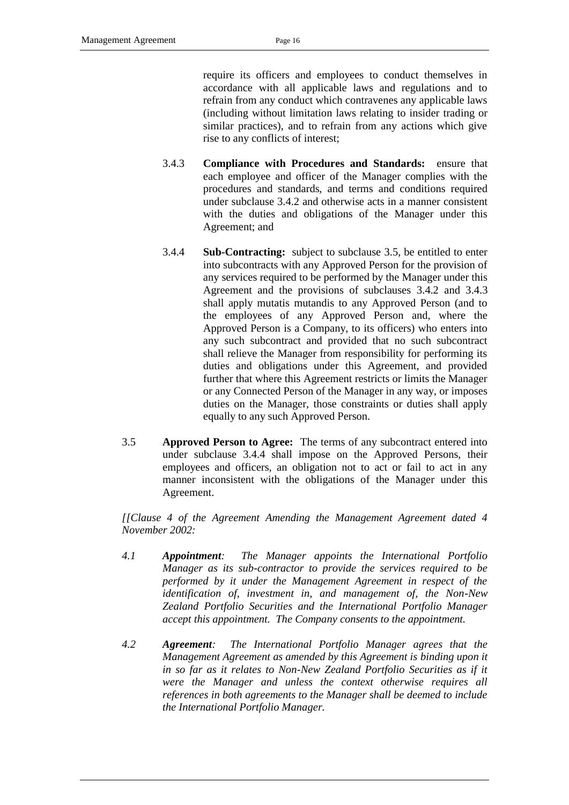require its officers and employees to conduct themselves in accordance with all applicable laws and regulations and to refrain from any conduct which contravenes any applicable laws (including without limitation laws relating to insider trading or similar practices), and to refrain from any actions which give rise to any conflicts of interest;

- <span id="page-19-1"></span>3.4.3 **Compliance with Procedures and Standards:** ensure that each employee and officer of the Manager complies with the procedures and standards, and terms and conditions required under subclause [3.4.2](#page-18-1) and otherwise acts in a manner consistent with the duties and obligations of the Manager under this Agreement; and
- <span id="page-19-2"></span>3.4.4 **Sub-Contracting:** subject to subclause [3.5,](#page-19-0) be entitled to enter into subcontracts with any Approved Person for the provision of any services required to be performed by the Manager under this Agreement and the provisions of subclauses [3.4.2](#page-18-1) and [3.4.3](#page-19-1) shall apply mutatis mutandis to any Approved Person (and to the employees of any Approved Person and, where the Approved Person is a Company, to its officers) who enters into any such subcontract and provided that no such subcontract shall relieve the Manager from responsibility for performing its duties and obligations under this Agreement, and provided further that where this Agreement restricts or limits the Manager or any Connected Person of the Manager in any way, or imposes duties on the Manager, those constraints or duties shall apply equally to any such Approved Person.
- <span id="page-19-0"></span>3.5 **Approved Person to Agree:** The terms of any subcontract entered into under subclause [3.4.4](#page-19-2) shall impose on the Approved Persons, their employees and officers, an obligation not to act or fail to act in any manner inconsistent with the obligations of the Manager under this Agreement.

*[[Clause 4 of the Agreement Amending the Management Agreement dated 4 November 2002:*

- *4.1 Appointment: The Manager appoints the International Portfolio Manager as its sub-contractor to provide the services required to be performed by it under the Management Agreement in respect of the identification of, investment in, and management of, the Non-New Zealand Portfolio Securities and the International Portfolio Manager accept this appointment. The Company consents to the appointment.*
- *4.2 Agreement: The International Portfolio Manager agrees that the Management Agreement as amended by this Agreement is binding upon it in so far as it relates to Non-New Zealand Portfolio Securities as if it were the Manager and unless the context otherwise requires all references in both agreements to the Manager shall be deemed to include the International Portfolio Manager.*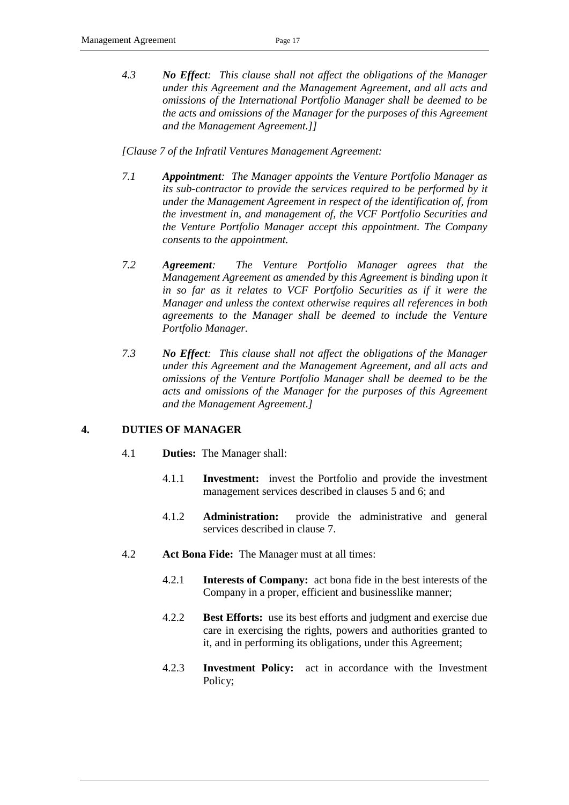*4.3 No Effect: This clause shall not affect the obligations of the Manager under this Agreement and the Management Agreement, and all acts and omissions of the International Portfolio Manager shall be deemed to be the acts and omissions of the Manager for the purposes of this Agreement and the Management Agreement.]]*

*[Clause 7 of the Infratil Ventures Management Agreement:*

- *7.1 Appointment: The Manager appoints the Venture Portfolio Manager as its sub-contractor to provide the services required to be performed by it under the Management Agreement in respect of the identification of, from the investment in, and management of, the VCF Portfolio Securities and the Venture Portfolio Manager accept this appointment. The Company consents to the appointment.*
- *7.2 Agreement: The Venture Portfolio Manager agrees that the Management Agreement as amended by this Agreement is binding upon it in so far as it relates to VCF Portfolio Securities as if it were the Manager and unless the context otherwise requires all references in both agreements to the Manager shall be deemed to include the Venture Portfolio Manager.*
- *7.3 No Effect: This clause shall not affect the obligations of the Manager under this Agreement and the Management Agreement, and all acts and omissions of the Venture Portfolio Manager shall be deemed to be the acts and omissions of the Manager for the purposes of this Agreement and the Management Agreement.]*

## **4. DUTIES OF MANAGER**

- 4.1 **Duties:** The Manager shall:
	- 4.1.1 **Investment:** invest the Portfolio and provide the investment management services described in clauses [5](#page-21-0) and [6;](#page-27-0) and
	- 4.1.2 **Administration:** provide the administrative and general services described in clause [7.](#page-29-0)
- 4.2 **Act Bona Fide:** The Manager must at all times:
	- 4.2.1 **Interests of Company:** act bona fide in the best interests of the Company in a proper, efficient and businesslike manner;
	- 4.2.2 **Best Efforts:** use its best efforts and judgment and exercise due care in exercising the rights, powers and authorities granted to it, and in performing its obligations, under this Agreement;
	- 4.2.3 **Investment Policy:** act in accordance with the Investment Policy;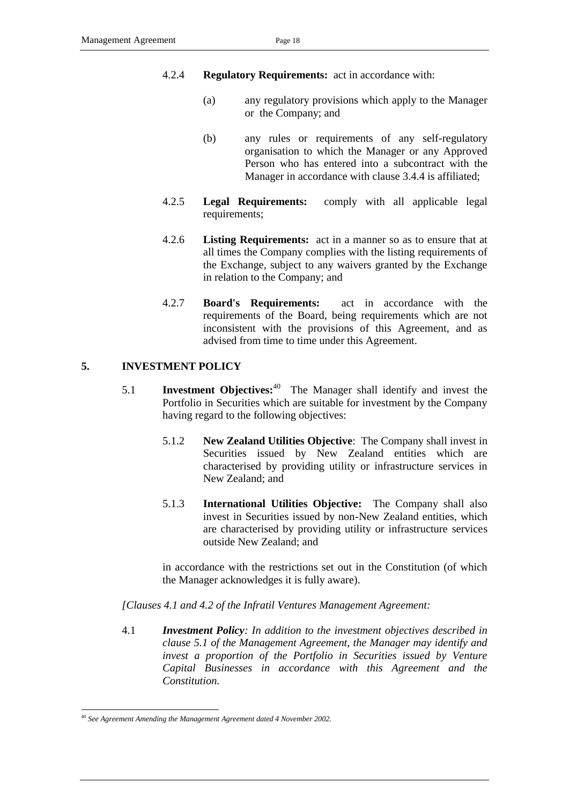## 4.2.4 **Regulatory Requirements:** act in accordance with:

- (a) any regulatory provisions which apply to the Manager or the Company; and
- (b) any rules or requirements of any self-regulatory organisation to which the Manager or any Approved Person who has entered into a subcontract with the Manager in accordance with clause [3.4.4](#page-19-2) is affiliated;
- 4.2.5 **Legal Requirements:** comply with all applicable legal requirements;
- 4.2.6 **Listing Requirements:** act in a manner so as to ensure that at all times the Company complies with the listing requirements of the Exchange, subject to any waivers granted by the Exchange in relation to the Company; and
- 4.2.7 **Board's Requirements:** act in accordance with the requirements of the Board, being requirements which are not inconsistent with the provisions of this Agreement, and as advised from time to time under this Agreement.

## <span id="page-21-0"></span>**5. INVESTMENT POLICY**

- 5.1 **Investment Objectives:**<sup>40</sup> The Manager shall identify and invest the Portfolio in Securities which are suitable for investment by the Company having regard to the following objectives:
	- 5.1.2 **New Zealand Utilities Objective**: The Company shall invest in Securities issued by New Zealand entities which are characterised by providing utility or infrastructure services in New Zealand; and
	- 5.1.3 **International Utilities Objective:** The Company shall also invest in Securities issued by non-New Zealand entities, which are characterised by providing utility or infrastructure services outside New Zealand; and

in accordance with the restrictions set out in the Constitution (of which the Manager acknowledges it is fully aware).

*[Clauses 4.1 and 4.2 of the Infratil Ventures Management Agreement:*

4.1 *Investment Policy: In addition to the investment objectives described in clause 5.1 of the Management Agreement, the Manager may identify and invest a proportion of the Portfolio in Securities issued by Venture Capital Businesses in accordance with this Agreement and the Constitution.*

<sup>-</sup><sup>40</sup> *See Agreement Amending the Management Agreement dated 4 November 2002.*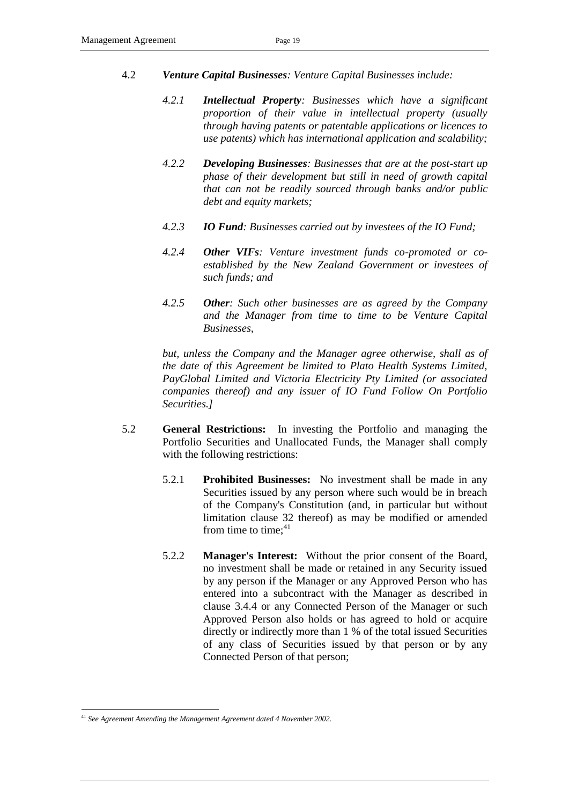- 4.2 *Venture Capital Businesses: Venture Capital Businesses include:*
	- *4.2.1 Intellectual Property: Businesses which have a significant proportion of their value in intellectual property (usually through having patents or patentable applications or licences to use patents) which has international application and scalability;*
	- *4.2.2 Developing Businesses: Businesses that are at the post-start up phase of their development but still in need of growth capital that can not be readily sourced through banks and/or public debt and equity markets;*
	- *4.2.3 IO Fund: Businesses carried out by investees of the IO Fund;*
	- *4.2.4 Other VIFs: Venture investment funds co-promoted or coestablished by the New Zealand Government or investees of such funds; and*
	- *4.2.5 Other: Such other businesses are as agreed by the Company and the Manager from time to time to be Venture Capital Businesses,*

*but, unless the Company and the Manager agree otherwise, shall as of the date of this Agreement be limited to Plato Health Systems Limited, PayGlobal Limited and Victoria Electricity Pty Limited (or associated companies thereof) and any issuer of IO Fund Follow On Portfolio Securities.]*

- <span id="page-22-0"></span>5.2 **General Restrictions:** In investing the Portfolio and managing the Portfolio Securities and Unallocated Funds, the Manager shall comply with the following restrictions:
	- 5.2.1 **Prohibited Businesses:** No investment shall be made in any Securities issued by any person where such would be in breach of the Company's Constitution (and, in particular but without limitation clause 32 thereof) as may be modified or amended from time to time; $41$
	- 5.2.2 **Manager's Interest:** Without the prior consent of the Board, no investment shall be made or retained in any Security issued by any person if the Manager or any Approved Person who has entered into a subcontract with the Manager as described in clause [3.4.4](#page-19-2) or any Connected Person of the Manager or such Approved Person also holds or has agreed to hold or acquire directly or indirectly more than 1 % of the total issued Securities of any class of Securities issued by that person or by any Connected Person of that person;

<sup>41</sup> *See Agreement Amending the Management Agreement dated 4 November 2002.*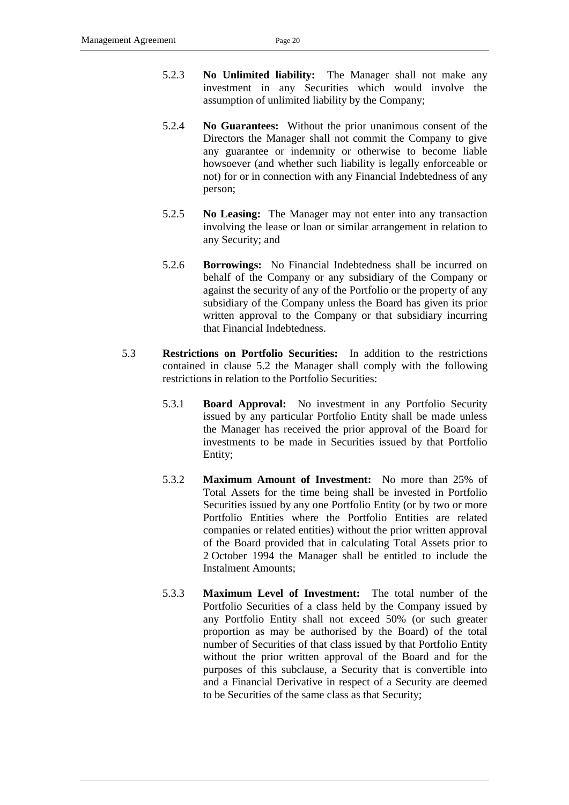- 5.2.3 **No Unlimited liability:** The Manager shall not make any investment in any Securities which would involve the assumption of unlimited liability by the Company;
- 5.2.4 **No Guarantees:** Without the prior unanimous consent of the Directors the Manager shall not commit the Company to give any guarantee or indemnity or otherwise to become liable howsoever (and whether such liability is legally enforceable or not) for or in connection with any Financial Indebtedness of any person;
- 5.2.5 **No Leasing:** The Manager may not enter into any transaction involving the lease or loan or similar arrangement in relation to any Security; and
- <span id="page-23-2"></span>5.2.6 **Borrowings:** No Financial Indebtedness shall be incurred on behalf of the Company or any subsidiary of the Company or against the security of any of the Portfolio or the property of any subsidiary of the Company unless the Board has given its prior written approval to the Company or that subsidiary incurring that Financial Indebtedness.
- <span id="page-23-1"></span><span id="page-23-0"></span>5.3 **Restrictions on Portfolio Securities:** In addition to the restrictions contained in clause [5.2](#page-22-0) the Manager shall comply with the following restrictions in relation to the Portfolio Securities:
	- 5.3.1 **Board Approval:** No investment in any Portfolio Security issued by any particular Portfolio Entity shall be made unless the Manager has received the prior approval of the Board for investments to be made in Securities issued by that Portfolio Entity;
	- 5.3.2 **Maximum Amount of Investment:** No more than 25% of Total Assets for the time being shall be invested in Portfolio Securities issued by any one Portfolio Entity (or by two or more Portfolio Entities where the Portfolio Entities are related companies or related entities) without the prior written approval of the Board provided that in calculating Total Assets prior to 2 October 1994 the Manager shall be entitled to include the Instalment Amounts;
	- 5.3.3 **Maximum Level of Investment:** The total number of the Portfolio Securities of a class held by the Company issued by any Portfolio Entity shall not exceed 50% (or such greater proportion as may be authorised by the Board) of the total number of Securities of that class issued by that Portfolio Entity without the prior written approval of the Board and for the purposes of this subclause, a Security that is convertible into and a Financial Derivative in respect of a Security are deemed to be Securities of the same class as that Security;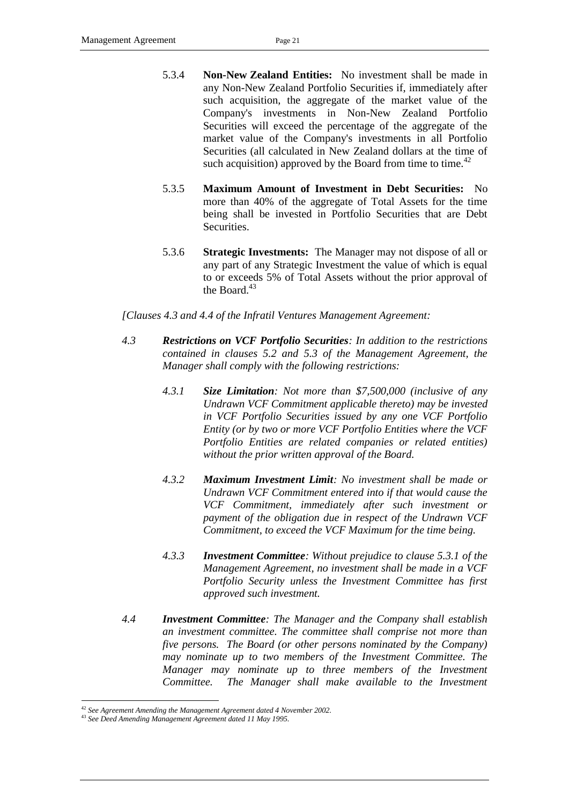- 5.3.4 **Non-New Zealand Entities:** No investment shall be made in any Non-New Zealand Portfolio Securities if, immediately after such acquisition, the aggregate of the market value of the Company's investments in Non-New Zealand Portfolio Securities will exceed the percentage of the aggregate of the market value of the Company's investments in all Portfolio Securities (all calculated in New Zealand dollars at the time of such acquisition) approved by the Board from time to time.<sup>42</sup>
- 5.3.5 **Maximum Amount of Investment in Debt Securities:** No more than 40% of the aggregate of Total Assets for the time being shall be invested in Portfolio Securities that are Debt Securities.
- 5.3.6 **Strategic Investments:** The Manager may not dispose of all or any part of any Strategic Investment the value of which is equal to or exceeds 5% of Total Assets without the prior approval of the Board. $43$

*[Clauses 4.3 and 4.4 of the Infratil Ventures Management Agreement:*

- *4.3 Restrictions on VCF Portfolio Securities: In addition to the restrictions contained in clauses 5.2 and 5.3 of the Management Agreement, the Manager shall comply with the following restrictions:*
	- *4.3.1 Size Limitation: Not more than \$7,500,000 (inclusive of any Undrawn VCF Commitment applicable thereto) may be invested in VCF Portfolio Securities issued by any one VCF Portfolio Entity (or by two or more VCF Portfolio Entities where the VCF Portfolio Entities are related companies or related entities) without the prior written approval of the Board.*
	- *4.3.2 Maximum Investment Limit: No investment shall be made or Undrawn VCF Commitment entered into if that would cause the VCF Commitment, immediately after such investment or payment of the obligation due in respect of the Undrawn VCF Commitment, to exceed the VCF Maximum for the time being.*
	- *4.3.3 Investment Committee: Without prejudice to clause 5.3.1 of the Management Agreement, no investment shall be made in a VCF Portfolio Security unless the Investment Committee has first approved such investment.*
- *4.4 Investment Committee: The Manager and the Company shall establish an investment committee. The committee shall comprise not more than five persons. The Board (or other persons nominated by the Company) may nominate up to two members of the Investment Committee. The Manager may nominate up to three members of the Investment*  Committee. The Manager shall make available to the Investment

<sup>-</sup><sup>42</sup> *See Agreement Amending the Management Agreement dated 4 November 2002.*

<sup>43</sup> *See Deed Amending Management Agreement dated 11 May 1995.*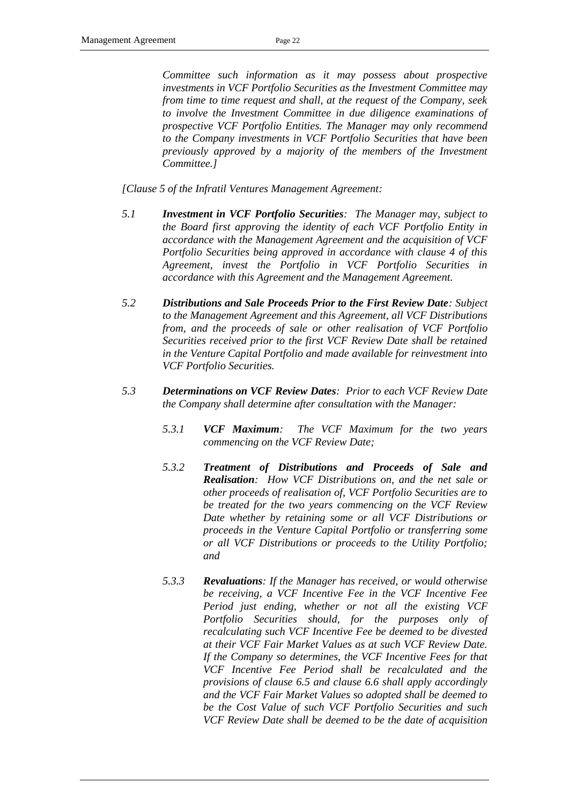*Committee such information as it may possess about prospective investments in VCF Portfolio Securities as the Investment Committee may from time to time request and shall, at the request of the Company, seek to involve the Investment Committee in due diligence examinations of prospective VCF Portfolio Entities. The Manager may only recommend to the Company investments in VCF Portfolio Securities that have been previously approved by a majority of the members of the Investment Committee.]*

*[Clause 5 of the Infratil Ventures Management Agreement:*

- *5.1 Investment in VCF Portfolio Securities: The Manager may, subject to the Board first approving the identity of each VCF Portfolio Entity in accordance with the Management Agreement and the acquisition of VCF Portfolio Securities being approved in accordance with clause 4 of this Agreement, invest the Portfolio in VCF Portfolio Securities in accordance with this Agreement and the Management Agreement.*
- *5.2 Distributions and Sale Proceeds Prior to the First Review Date: Subject to the Management Agreement and this Agreement, all VCF Distributions from, and the proceeds of sale or other realisation of VCF Portfolio Securities received prior to the first VCF Review Date shall be retained in the Venture Capital Portfolio and made available for reinvestment into VCF Portfolio Securities.*
- *5.3 Determinations on VCF Review Dates: Prior to each VCF Review Date the Company shall determine after consultation with the Manager:*
	- *5.3.1 VCF Maximum: The VCF Maximum for the two years commencing on the VCF Review Date;*
	- *5.3.2 Treatment of Distributions and Proceeds of Sale and Realisation: How VCF Distributions on, and the net sale or other proceeds of realisation of, VCF Portfolio Securities are to be treated for the two years commencing on the VCF Review Date whether by retaining some or all VCF Distributions or proceeds in the Venture Capital Portfolio or transferring some or all VCF Distributions or proceeds to the Utility Portfolio; and*
	- *5.3.3 Revaluations: If the Manager has received, or would otherwise be receiving, a VCF Incentive Fee in the VCF Incentive Fee Period just ending, whether or not all the existing VCF Portfolio Securities should, for the purposes only of recalculating such VCF Incentive Fee be deemed to be divested at their VCF Fair Market Values as at such VCF Review Date. If the Company so determines, the VCF Incentive Fees for that VCF Incentive Fee Period shall be recalculated and the provisions of clause 6.5 and clause 6.6 shall apply accordingly and the VCF Fair Market Values so adopted shall be deemed to be the Cost Value of such VCF Portfolio Securities and such VCF Review Date shall be deemed to be the date of acquisition*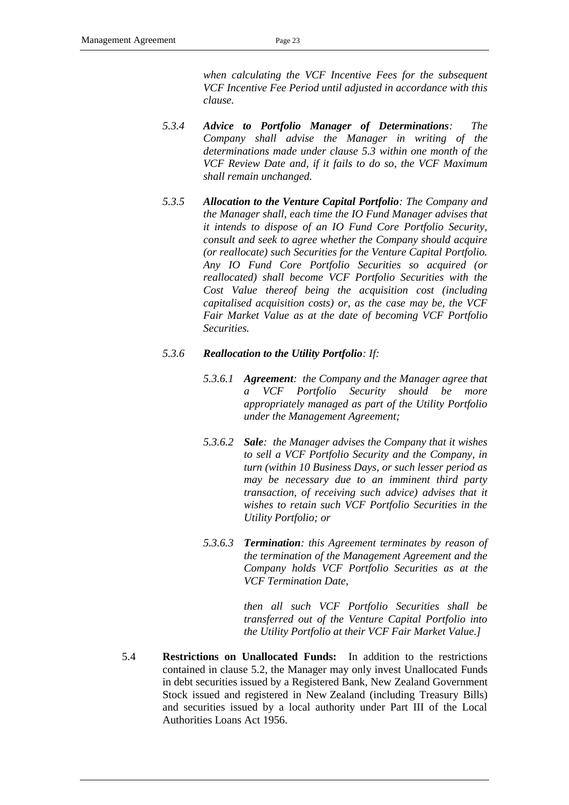*when calculating the VCF Incentive Fees for the subsequent VCF Incentive Fee Period until adjusted in accordance with this clause.*

- *5.3.4 Advice to Portfolio Manager of Determinations: The Company shall advise the Manager in writing of the determinations made under clause 5.3 within one month of the VCF Review Date and, if it fails to do so, the VCF Maximum shall remain unchanged.*
- *5.3.5 Allocation to the Venture Capital Portfolio: The Company and the Manager shall, each time the IO Fund Manager advises that it intends to dispose of an IO Fund Core Portfolio Security, consult and seek to agree whether the Company should acquire (or reallocate) such Securities for the Venture Capital Portfolio. Any IO Fund Core Portfolio Securities so acquired (or reallocated) shall become VCF Portfolio Securities with the Cost Value thereof being the acquisition cost (including capitalised acquisition costs) or, as the case may be, the VCF Fair Market Value as at the date of becoming VCF Portfolio Securities.*

#### *5.3.6 Reallocation to the Utility Portfolio: If:*

- *5.3.6.1 Agreement: the Company and the Manager agree that a VCF Portfolio Security should be more appropriately managed as part of the Utility Portfolio under the Management Agreement;*
- *5.3.6.2 Sale: the Manager advises the Company that it wishes to sell a VCF Portfolio Security and the Company, in turn (within 10 Business Days, or such lesser period as may be necessary due to an imminent third party transaction, of receiving such advice) advises that it wishes to retain such VCF Portfolio Securities in the Utility Portfolio; or*
- *5.3.6.3 Termination: this Agreement terminates by reason of the termination of the Management Agreement and the Company holds VCF Portfolio Securities as at the VCF Termination Date,*

*then all such VCF Portfolio Securities shall be transferred out of the Venture Capital Portfolio into the Utility Portfolio at their VCF Fair Market Value.]*

<span id="page-26-0"></span>5.4 **Restrictions on Unallocated Funds:** In addition to the restrictions contained in clause [5.2,](#page-22-0) the Manager may only invest Unallocated Funds in debt securities issued by a Registered Bank, New Zealand Government Stock issued and registered in New Zealand (including Treasury Bills) and securities issued by a local authority under Part III of the Local Authorities Loans Act 1956.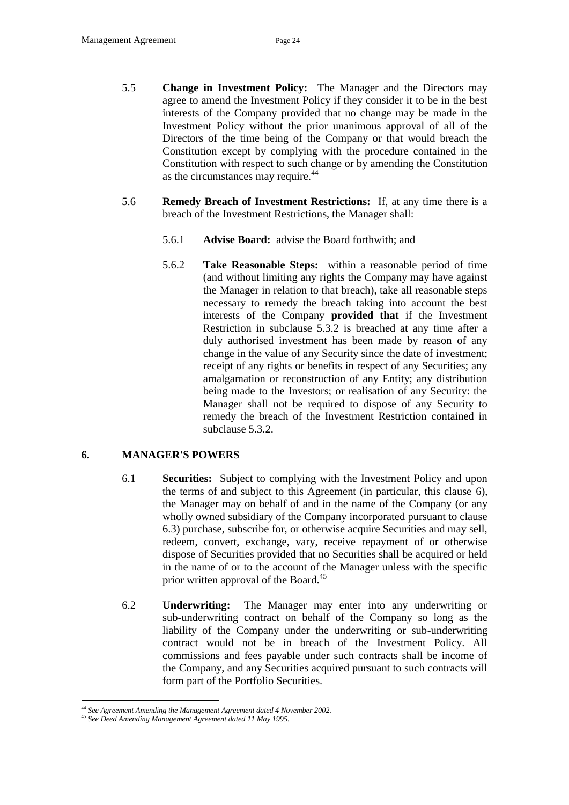- 5.5 **Change in Investment Policy:** The Manager and the Directors may agree to amend the Investment Policy if they consider it to be in the best interests of the Company provided that no change may be made in the Investment Policy without the prior unanimous approval of all of the Directors of the time being of the Company or that would breach the Constitution except by complying with the procedure contained in the Constitution with respect to such change or by amending the Constitution as the circumstances may require.<sup>44</sup>
- 5.6 **Remedy Breach of Investment Restrictions:** If, at any time there is a breach of the Investment Restrictions, the Manager shall:
	- 5.6.1 **Advise Board:** advise the Board forthwith; and
	- 5.6.2 **Take Reasonable Steps:** within a reasonable period of time (and without limiting any rights the Company may have against the Manager in relation to that breach), take all reasonable steps necessary to remedy the breach taking into account the best interests of the Company **provided that** if the Investment Restriction in subclause [5.3.2](#page-23-1) is breached at any time after a duly authorised investment has been made by reason of any change in the value of any Security since the date of investment; receipt of any rights or benefits in respect of any Securities; any amalgamation or reconstruction of any Entity; any distribution being made to the Investors; or realisation of any Security: the Manager shall not be required to dispose of any Security to remedy the breach of the Investment Restriction contained in subclause [5.3.2.](#page-23-1)

## <span id="page-27-0"></span>**6. MANAGER'S POWERS**

- 6.1 **Securities:** Subject to complying with the Investment Policy and upon the terms of and subject to this Agreement (in particular, this clause [6\)](#page-27-0), the Manager may on behalf of and in the name of the Company (or any wholly owned subsidiary of the Company incorporated pursuant to clause 6.3) purchase, subscribe for, or otherwise acquire Securities and may sell, redeem, convert, exchange, vary, receive repayment of or otherwise dispose of Securities provided that no Securities shall be acquired or held in the name of or to the account of the Manager unless with the specific prior written approval of the Board.<sup>45</sup>
- 6.2 **Underwriting:** The Manager may enter into any underwriting or sub-underwriting contract on behalf of the Company so long as the liability of the Company under the underwriting or sub-underwriting contract would not be in breach of the Investment Policy. All commissions and fees payable under such contracts shall be income of the Company, and any Securities acquired pursuant to such contracts will form part of the Portfolio Securities.

<sup>-</sup><sup>44</sup> *See Agreement Amending the Management Agreement dated 4 November 2002.*

<sup>45</sup> *See Deed Amending Management Agreement dated 11 May 1995.*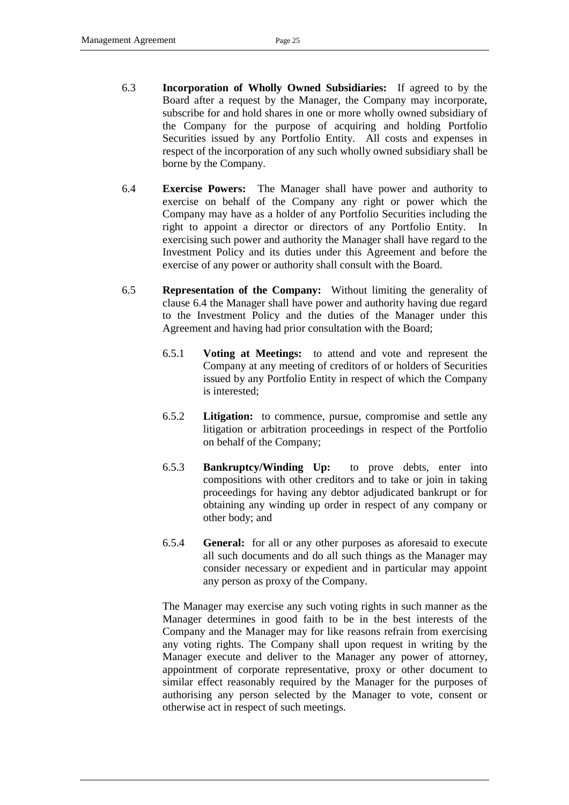- <span id="page-28-0"></span>6.3 **Incorporation of Wholly Owned Subsidiaries:** If agreed to by the Board after a request by the Manager, the Company may incorporate, subscribe for and hold shares in one or more wholly owned subsidiary of the Company for the purpose of acquiring and holding Portfolio Securities issued by any Portfolio Entity. All costs and expenses in respect of the incorporation of any such wholly owned subsidiary shall be borne by the Company.
- <span id="page-28-1"></span>6.4 **Exercise Powers:** The Manager shall have power and authority to exercise on behalf of the Company any right or power which the Company may have as a holder of any Portfolio Securities including the right to appoint a director or directors of any Portfolio Entity. In exercising such power and authority the Manager shall have regard to the Investment Policy and its duties under this Agreement and before the exercise of any power or authority shall consult with the Board.
- 6.5 **Representation of the Company:** Without limiting the generality of clause [6.4](#page-28-1) the Manager shall have power and authority having due regard to the Investment Policy and the duties of the Manager under this Agreement and having had prior consultation with the Board;
	- 6.5.1 **Voting at Meetings:** to attend and vote and represent the Company at any meeting of creditors of or holders of Securities issued by any Portfolio Entity in respect of which the Company is interested;
	- 6.5.2 **Litigation:** to commence, pursue, compromise and settle any litigation or arbitration proceedings in respect of the Portfolio on behalf of the Company;
	- 6.5.3 **Bankruptcy/Winding Up:** to prove debts, enter into compositions with other creditors and to take or join in taking proceedings for having any debtor adjudicated bankrupt or for obtaining any winding up order in respect of any company or other body; and
	- 6.5.4 **General:** for all or any other purposes as aforesaid to execute all such documents and do all such things as the Manager may consider necessary or expedient and in particular may appoint any person as proxy of the Company.

The Manager may exercise any such voting rights in such manner as the Manager determines in good faith to be in the best interests of the Company and the Manager may for like reasons refrain from exercising any voting rights. The Company shall upon request in writing by the Manager execute and deliver to the Manager any power of attorney, appointment of corporate representative, proxy or other document to similar effect reasonably required by the Manager for the purposes of authorising any person selected by the Manager to vote, consent or otherwise act in respect of such meetings.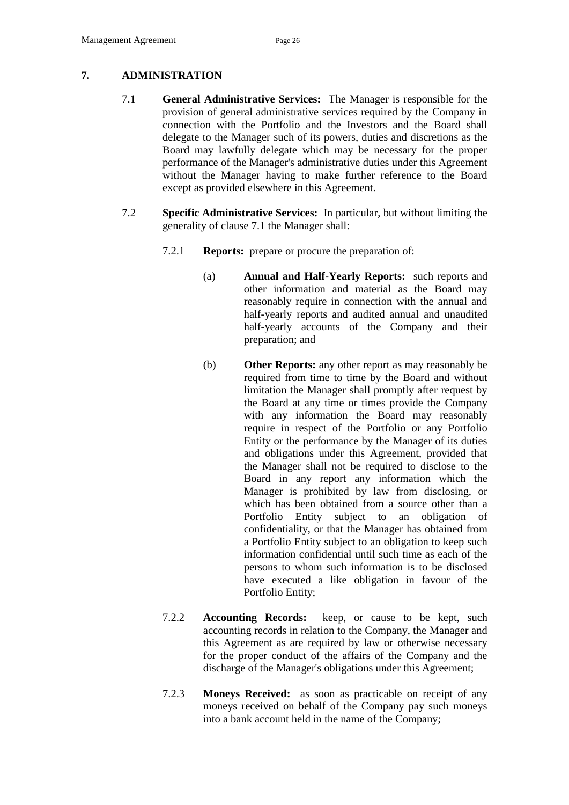#### <span id="page-29-1"></span><span id="page-29-0"></span>**7. ADMINISTRATION**

- 7.1 **General Administrative Services:** The Manager is responsible for the provision of general administrative services required by the Company in connection with the Portfolio and the Investors and the Board shall delegate to the Manager such of its powers, duties and discretions as the Board may lawfully delegate which may be necessary for the proper performance of the Manager's administrative duties under this Agreement without the Manager having to make further reference to the Board except as provided elsewhere in this Agreement.
- <span id="page-29-2"></span>7.2 **Specific Administrative Services:** In particular, but without limiting the generality of clause [7.1](#page-29-1) the Manager shall:
	- 7.2.1 **Reports:** prepare or procure the preparation of:
		- (a) **Annual and Half-Yearly Reports:** such reports and other information and material as the Board may reasonably require in connection with the annual and half-yearly reports and audited annual and unaudited half-yearly accounts of the Company and their preparation; and
		- (b) **Other Reports:** any other report as may reasonably be required from time to time by the Board and without limitation the Manager shall promptly after request by the Board at any time or times provide the Company with any information the Board may reasonably require in respect of the Portfolio or any Portfolio Entity or the performance by the Manager of its duties and obligations under this Agreement, provided that the Manager shall not be required to disclose to the Board in any report any information which the Manager is prohibited by law from disclosing, or which has been obtained from a source other than a Portfolio Entity subject to an obligation of confidentiality, or that the Manager has obtained from a Portfolio Entity subject to an obligation to keep such information confidential until such time as each of the persons to whom such information is to be disclosed have executed a like obligation in favour of the Portfolio Entity;
	- 7.2.2 **Accounting Records:** keep, or cause to be kept, such accounting records in relation to the Company, the Manager and this Agreement as are required by law or otherwise necessary for the proper conduct of the affairs of the Company and the discharge of the Manager's obligations under this Agreement;
	- 7.2.3 **Moneys Received:** as soon as practicable on receipt of any moneys received on behalf of the Company pay such moneys into a bank account held in the name of the Company;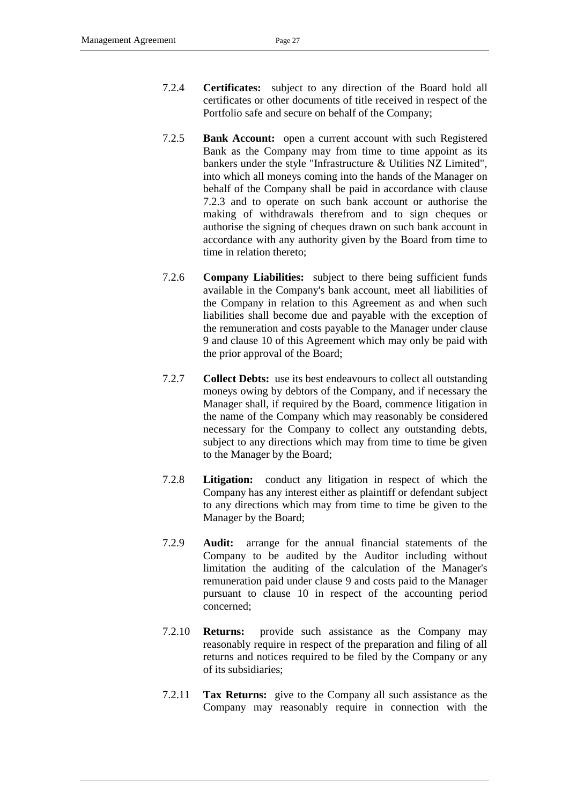- 7.2.4 **Certificates:** subject to any direction of the Board hold all certificates or other documents of title received in respect of the Portfolio safe and secure on behalf of the Company;
- 7.2.5 **Bank Account:** open a current account with such Registered Bank as the Company may from time to time appoint as its bankers under the style "Infrastructure & Utilities NZ Limited", into which all moneys coming into the hands of the Manager on behalf of the Company shall be paid in accordance with clause [7.2.3](#page-29-2) and to operate on such bank account or authorise the making of withdrawals therefrom and to sign cheques or authorise the signing of cheques drawn on such bank account in accordance with any authority given by the Board from time to time in relation thereto;
- 7.2.6 **Company Liabilities:** subject to there being sufficient funds available in the Company's bank account, meet all liabilities of the Company in relation to this Agreement as and when such liabilities shall become due and payable with the exception of the remuneration and costs payable to the Manager under clause [9](#page-32-0) and clause [10](#page-46-0) of this Agreement which may only be paid with the prior approval of the Board;
- 7.2.7 **Collect Debts:** use its best endeavours to collect all outstanding moneys owing by debtors of the Company, and if necessary the Manager shall, if required by the Board, commence litigation in the name of the Company which may reasonably be considered necessary for the Company to collect any outstanding debts, subject to any directions which may from time to time be given to the Manager by the Board;
- 7.2.8 **Litigation:** conduct any litigation in respect of which the Company has any interest either as plaintiff or defendant subject to any directions which may from time to time be given to the Manager by the Board;
- <span id="page-30-0"></span>7.2.9 **Audit:** arrange for the annual financial statements of the Company to be audited by the Auditor including without limitation the auditing of the calculation of the Manager's remuneration paid under clause [9](#page-32-0) and costs paid to the Manager pursuant to clause [10](#page-46-0) in respect of the accounting period concerned;
- 7.2.10 **Returns:** provide such assistance as the Company may reasonably require in respect of the preparation and filing of all returns and notices required to be filed by the Company or any of its subsidiaries;
- 7.2.11 **Tax Returns:** give to the Company all such assistance as the Company may reasonably require in connection with the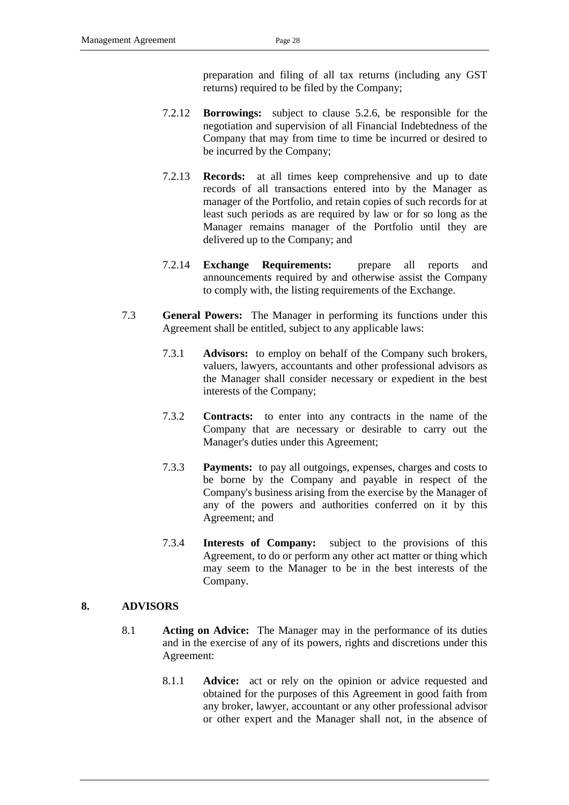preparation and filing of all tax returns (including any GST returns) required to be filed by the Company;

- 7.2.12 **Borrowings:** subject to clause [5.2.6,](#page-23-2) be responsible for the negotiation and supervision of all Financial Indebtedness of the Company that may from time to time be incurred or desired to be incurred by the Company;
- 7.2.13 **Records:** at all times keep comprehensive and up to date records of all transactions entered into by the Manager as manager of the Portfolio, and retain copies of such records for at least such periods as are required by law or for so long as the Manager remains manager of the Portfolio until they are delivered up to the Company; and
- 7.2.14 **Exchange Requirements:** prepare all reports and announcements required by and otherwise assist the Company to comply with, the listing requirements of the Exchange.
- 7.3 **General Powers:** The Manager in performing its functions under this Agreement shall be entitled, subject to any applicable laws:
	- 7.3.1 **Advisors:** to employ on behalf of the Company such brokers, valuers, lawyers, accountants and other professional advisors as the Manager shall consider necessary or expedient in the best interests of the Company;
	- 7.3.2 **Contracts:** to enter into any contracts in the name of the Company that are necessary or desirable to carry out the Manager's duties under this Agreement;
	- 7.3.3 **Payments:** to pay all outgoings, expenses, charges and costs to be borne by the Company and payable in respect of the Company's business arising from the exercise by the Manager of any of the powers and authorities conferred on it by this Agreement; and
	- 7.3.4 **Interests of Company:** subject to the provisions of this Agreement, to do or perform any other act matter or thing which may seem to the Manager to be in the best interests of the Company.

#### **8. ADVISORS**

- 8.1 **Acting on Advice:** The Manager may in the performance of its duties and in the exercise of any of its powers, rights and discretions under this Agreement:
	- 8.1.1 **Advice:** act or rely on the opinion or advice requested and obtained for the purposes of this Agreement in good faith from any broker, lawyer, accountant or any other professional advisor or other expert and the Manager shall not, in the absence of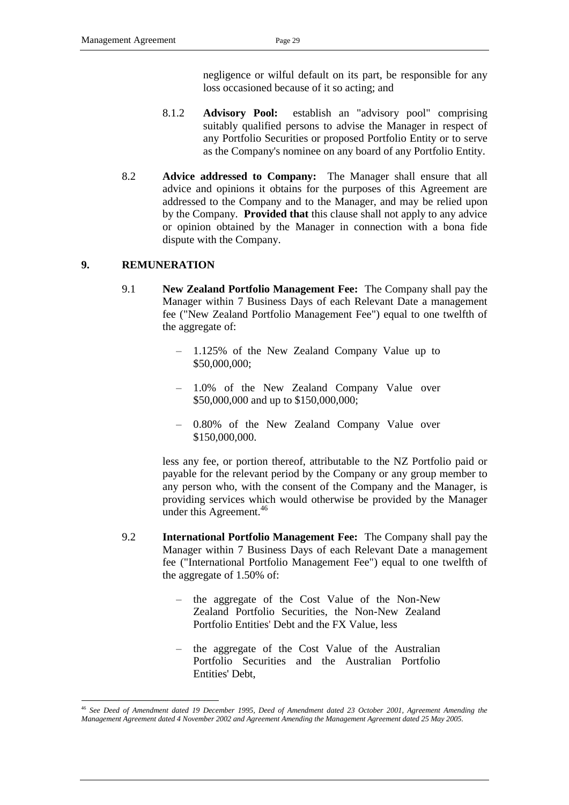negligence or wilful default on its part, be responsible for any loss occasioned because of it so acting; and

- 8.1.2 **Advisory Pool:** establish an "advisory pool" comprising suitably qualified persons to advise the Manager in respect of any Portfolio Securities or proposed Portfolio Entity or to serve as the Company's nominee on any board of any Portfolio Entity.
- <span id="page-32-1"></span>8.2 **Advice addressed to Company:** The Manager shall ensure that all advice and opinions it obtains for the purposes of this Agreement are addressed to the Company and to the Manager, and may be relied upon by the Company. **Provided that** this clause shall not apply to any advice or opinion obtained by the Manager in connection with a bona fide dispute with the Company.

## <span id="page-32-0"></span>**9. REMUNERATION**

- 9.1 **New Zealand Portfolio Management Fee:** The Company shall pay the Manager within 7 Business Days of each Relevant Date a management fee ("New Zealand Portfolio Management Fee") equal to one twelfth of the aggregate of:
	- 1.125% of the New Zealand Company Value up to \$50,000,000;
	- 1.0% of the New Zealand Company Value over \$50,000,000 and up to \$150,000,000;
	- 0.80% of the New Zealand Company Value over \$150,000,000.

less any fee, or portion thereof, attributable to the NZ Portfolio paid or payable for the relevant period by the Company or any group member to any person who, with the consent of the Company and the Manager, is providing services which would otherwise be provided by the Manager under this Agreement.<sup>46</sup>

- 9.2 **International Portfolio Management Fee:** The Company shall pay the Manager within 7 Business Days of each Relevant Date a management fee ("International Portfolio Management Fee") equal to one twelfth of the aggregate of 1.50% of:
	- the aggregate of the Cost Value of the Non-New Zealand Portfolio Securities, the Non-New Zealand Portfolio Entities' Debt and the FX Value, less
	- the aggregate of the Cost Value of the Australian Portfolio Securities and the Australian Portfolio Entities' Debt,

<sup>-</sup><sup>46</sup> *See Deed of Amendment dated 19 December 1995, Deed of Amendment dated 23 October 2001, Agreement Amending the Management Agreement dated 4 November 2002 and Agreement Amending the Management Agreement dated 25 May 2005.*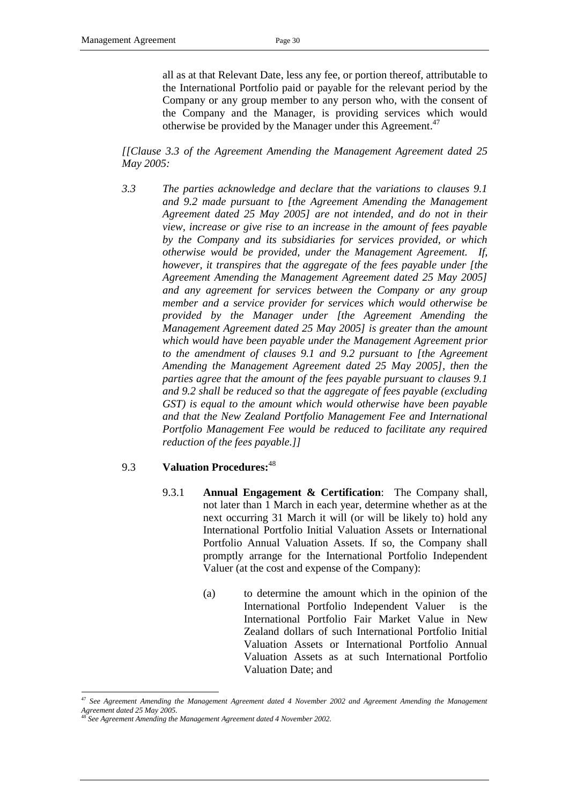all as at that Relevant Date, less any fee, or portion thereof, attributable to the International Portfolio paid or payable for the relevant period by the Company or any group member to any person who, with the consent of the Company and the Manager, is providing services which would otherwise be provided by the Manager under this Agreement.<sup>47</sup>

*[[Clause 3.3 of the Agreement Amending the Management Agreement dated 25 May 2005:*

*3.3 The parties acknowledge and declare that the variations to clauses 9.1 and 9.2 made pursuant to [the Agreement Amending the Management Agreement dated 25 May 2005] are not intended, and do not in their view, increase or give rise to an increase in the amount of fees payable by the Company and its subsidiaries for services provided, or which otherwise would be provided, under the Management Agreement. If, however, it transpires that the aggregate of the fees payable under [the Agreement Amending the Management Agreement dated 25 May 2005] and any agreement for services between the Company or any group member and a service provider for services which would otherwise be provided by the Manager under [the Agreement Amending the Management Agreement dated 25 May 2005] is greater than the amount which would have been payable under the Management Agreement prior to the amendment of clauses 9.1 and 9.2 pursuant to [the Agreement Amending the Management Agreement dated 25 May 2005], then the parties agree that the amount of the fees payable pursuant to clauses 9.1 and 9.2 shall be reduced so that the aggregate of fees payable (excluding GST) is equal to the amount which would otherwise have been payable and that the New Zealand Portfolio Management Fee and International Portfolio Management Fee would be reduced to facilitate any required reduction of the fees payable.]]*

## 9.3 **Valuation Procedures:** 48

- 9.3.1 **Annual Engagement & Certification**: The Company shall, not later than 1 March in each year, determine whether as at the next occurring 31 March it will (or will be likely to) hold any International Portfolio Initial Valuation Assets or International Portfolio Annual Valuation Assets. If so, the Company shall promptly arrange for the International Portfolio Independent Valuer (at the cost and expense of the Company):
	- (a) to determine the amount which in the opinion of the International Portfolio Independent Valuer is the International Portfolio Fair Market Value in New Zealand dollars of such International Portfolio Initial Valuation Assets or International Portfolio Annual Valuation Assets as at such International Portfolio Valuation Date; and

<sup>47</sup> *See Agreement Amending the Management Agreement dated 4 November 2002 and Agreement Amending the Management Agreement dated 25 May 2005.*

<sup>48</sup> *See Agreement Amending the Management Agreement dated 4 November 2002.*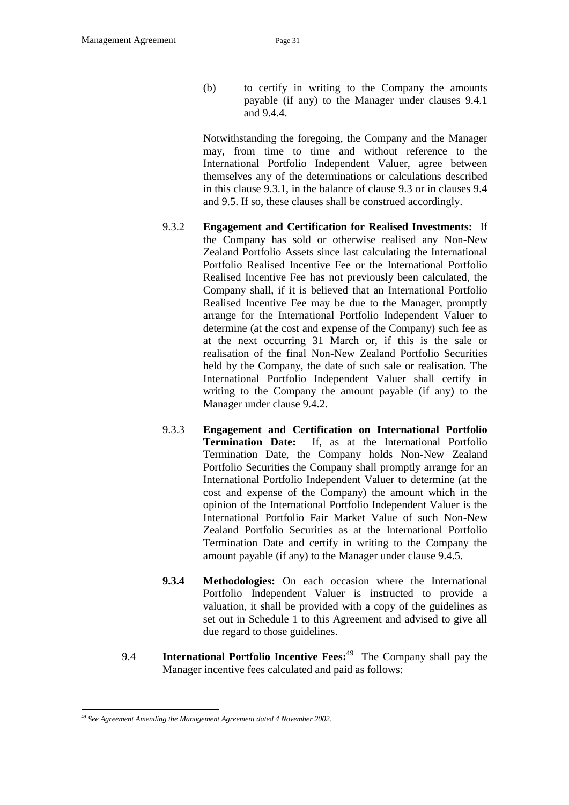(b) to certify in writing to the Company the amounts payable (if any) to the Manager under clauses 9.4.1 and 9.4.4.

Notwithstanding the foregoing, the Company and the Manager may, from time to time and without reference to the International Portfolio Independent Valuer, agree between themselves any of the determinations or calculations described in this clause 9.3.1, in the balance of clause 9.3 or in clauses 9.4 and 9.5. If so, these clauses shall be construed accordingly.

- 9.3.2 **Engagement and Certification for Realised Investments:** If the Company has sold or otherwise realised any Non-New Zealand Portfolio Assets since last calculating the International Portfolio Realised Incentive Fee or the International Portfolio Realised Incentive Fee has not previously been calculated, the Company shall, if it is believed that an International Portfolio Realised Incentive Fee may be due to the Manager, promptly arrange for the International Portfolio Independent Valuer to determine (at the cost and expense of the Company) such fee as at the next occurring 31 March or, if this is the sale or realisation of the final Non-New Zealand Portfolio Securities held by the Company, the date of such sale or realisation. The International Portfolio Independent Valuer shall certify in writing to the Company the amount payable (if any) to the Manager under clause 9.4.2.
- 9.3.3 **Engagement and Certification on International Portfolio Termination Date:** If, as at the International Portfolio Termination Date, the Company holds Non-New Zealand Portfolio Securities the Company shall promptly arrange for an International Portfolio Independent Valuer to determine (at the cost and expense of the Company) the amount which in the opinion of the International Portfolio Independent Valuer is the International Portfolio Fair Market Value of such Non-New Zealand Portfolio Securities as at the International Portfolio Termination Date and certify in writing to the Company the amount payable (if any) to the Manager under clause 9.4.5.
- **9.3.4 Methodologies:** On each occasion where the International Portfolio Independent Valuer is instructed to provide a valuation, it shall be provided with a copy of the guidelines as set out in Schedule 1 to this Agreement and advised to give all due regard to those guidelines.
- 9.4 **International Portfolio Incentive Fees:<sup>49</sup>** The Company shall pay the Manager incentive fees calculated and paid as follows:

<sup>-</sup><sup>49</sup> *See Agreement Amending the Management Agreement dated 4 November 2002.*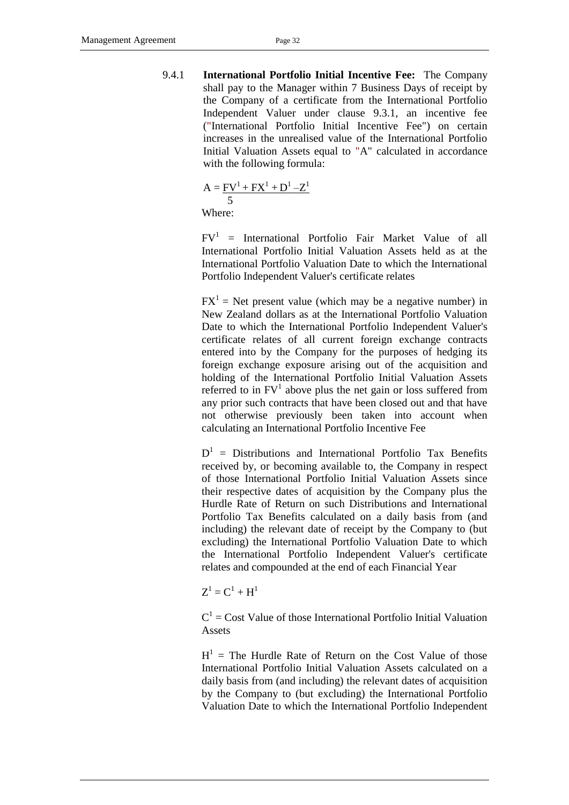9.4.1 **International Portfolio Initial Incentive Fee:** The Company shall pay to the Manager within 7 Business Days of receipt by the Company of a certificate from the International Portfolio Independent Valuer under clause 9.3.1, an incentive fee ("International Portfolio Initial Incentive Fee") on certain increases in the unrealised value of the International Portfolio Initial Valuation Assets equal to "A" calculated in accordance with the following formula:

$$
A = \frac{FV^1 + FX^1 + D^1 - Z^1}{5}
$$
  
Where:

 $FV^1$  = International Portfolio Fair Market Value of all International Portfolio Initial Valuation Assets held as at the International Portfolio Valuation Date to which the International Portfolio Independent Valuer's certificate relates

 $FX<sup>1</sup>$  = Net present value (which may be a negative number) in New Zealand dollars as at the International Portfolio Valuation Date to which the International Portfolio Independent Valuer's certificate relates of all current foreign exchange contracts entered into by the Company for the purposes of hedging its foreign exchange exposure arising out of the acquisition and holding of the International Portfolio Initial Valuation Assets referred to in  $FV<sup>1</sup>$  above plus the net gain or loss suffered from any prior such contracts that have been closed out and that have not otherwise previously been taken into account when calculating an International Portfolio Incentive Fee

 $D<sup>1</sup>$  = Distributions and International Portfolio Tax Benefits received by, or becoming available to, the Company in respect of those International Portfolio Initial Valuation Assets since their respective dates of acquisition by the Company plus the Hurdle Rate of Return on such Distributions and International Portfolio Tax Benefits calculated on a daily basis from (and including) the relevant date of receipt by the Company to (but excluding) the International Portfolio Valuation Date to which the International Portfolio Independent Valuer's certificate relates and compounded at the end of each Financial Year

 $Z^1 = C^1 + H^1$ 

 $C<sup>1</sup> = Cost Value of those International Portfolio Initial Valuation$ Assets

 $H<sup>1</sup>$  = The Hurdle Rate of Return on the Cost Value of those International Portfolio Initial Valuation Assets calculated on a daily basis from (and including) the relevant dates of acquisition by the Company to (but excluding) the International Portfolio Valuation Date to which the International Portfolio Independent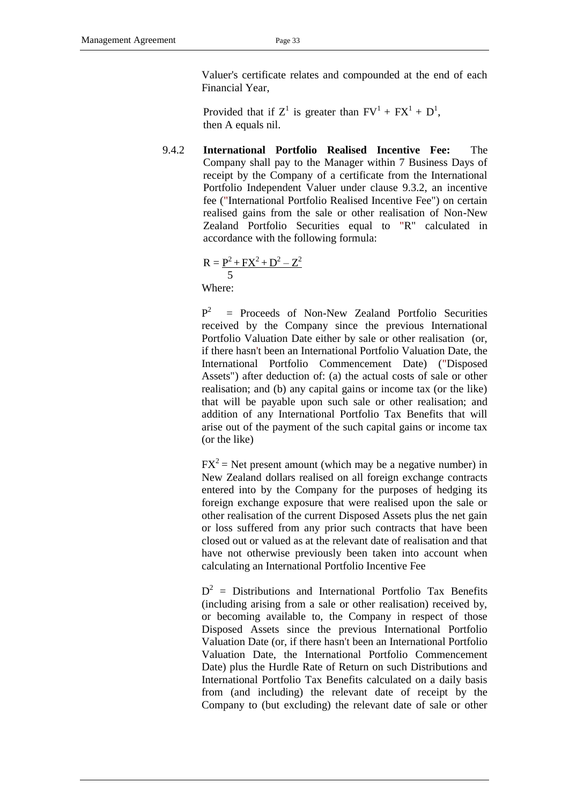Valuer's certificate relates and compounded at the end of each Financial Year,

Provided that if  $Z^1$  is greater than  $FV^1 + FX^1 + D^1$ , then A equals nil.

9.4.2 **International Portfolio Realised Incentive Fee:** The Company shall pay to the Manager within 7 Business Days of receipt by the Company of a certificate from the International Portfolio Independent Valuer under clause 9.3.2, an incentive fee ("International Portfolio Realised Incentive Fee") on certain realised gains from the sale or other realisation of Non-New Zealand Portfolio Securities equal to "R" calculated in accordance with the following formula:

$$
R = \frac{P^2 + FX^2 + D^2 - Z^2}{5}
$$

Where:

 $P^2$  = Proceeds of Non-New Zealand Portfolio Securities received by the Company since the previous International Portfolio Valuation Date either by sale or other realisation (or, if there hasn't been an International Portfolio Valuation Date, the International Portfolio Commencement Date) ("Disposed Assets") after deduction of: (a) the actual costs of sale or other realisation; and (b) any capital gains or income tax (or the like) that will be payable upon such sale or other realisation; and addition of any International Portfolio Tax Benefits that will arise out of the payment of the such capital gains or income tax (or the like)

 $FX^2$  = Net present amount (which may be a negative number) in New Zealand dollars realised on all foreign exchange contracts entered into by the Company for the purposes of hedging its foreign exchange exposure that were realised upon the sale or other realisation of the current Disposed Assets plus the net gain or loss suffered from any prior such contracts that have been closed out or valued as at the relevant date of realisation and that have not otherwise previously been taken into account when calculating an International Portfolio Incentive Fee

 $D^2$  = Distributions and International Portfolio Tax Benefits (including arising from a sale or other realisation) received by, or becoming available to, the Company in respect of those Disposed Assets since the previous International Portfolio Valuation Date (or, if there hasn't been an International Portfolio Valuation Date, the International Portfolio Commencement Date) plus the Hurdle Rate of Return on such Distributions and International Portfolio Tax Benefits calculated on a daily basis from (and including) the relevant date of receipt by the Company to (but excluding) the relevant date of sale or other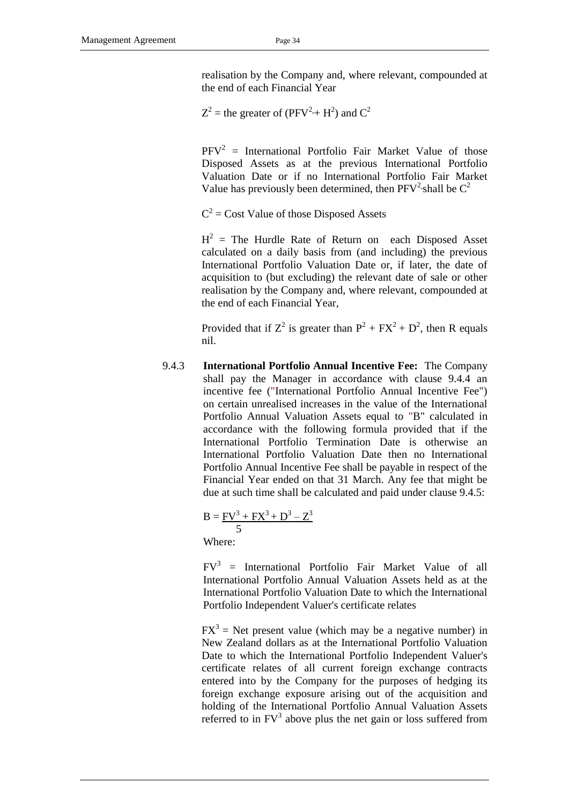realisation by the Company and, where relevant, compounded at the end of each Financial Year

 $Z^2$  = the greater of (PFV<sup>2</sup>+H<sup>2</sup>) and C<sup>2</sup>

 $PFV^2$  = International Portfolio Fair Market Value of those Disposed Assets as at the previous International Portfolio Valuation Date or if no International Portfolio Fair Market Value has previously been determined, then  $PFV^2$ -shall be  $C^2$ 

 $C^2$  = Cost Value of those Disposed Assets

 $H<sup>2</sup>$  = The Hurdle Rate of Return on each Disposed Asset calculated on a daily basis from (and including) the previous International Portfolio Valuation Date or, if later, the date of acquisition to (but excluding) the relevant date of sale or other realisation by the Company and, where relevant, compounded at the end of each Financial Year,

Provided that if  $Z^2$  is greater than  $P^2 + FX^2 + D^2$ , then R equals nil.

9.4.3 **International Portfolio Annual Incentive Fee:** The Company shall pay the Manager in accordance with clause 9.4.4 an incentive fee ("International Portfolio Annual Incentive Fee") on certain unrealised increases in the value of the International Portfolio Annual Valuation Assets equal to "B" calculated in accordance with the following formula provided that if the International Portfolio Termination Date is otherwise an International Portfolio Valuation Date then no International Portfolio Annual Incentive Fee shall be payable in respect of the Financial Year ended on that 31 March. Any fee that might be due at such time shall be calculated and paid under clause 9.4.5:

$$
B = \frac{FV^3 + FX^3 + D^3 - Z^3}{5}
$$

Where:

 $FV^3$  = International Portfolio Fair Market Value of all International Portfolio Annual Valuation Assets held as at the International Portfolio Valuation Date to which the International Portfolio Independent Valuer's certificate relates

 $FX<sup>3</sup>$  = Net present value (which may be a negative number) in New Zealand dollars as at the International Portfolio Valuation Date to which the International Portfolio Independent Valuer's certificate relates of all current foreign exchange contracts entered into by the Company for the purposes of hedging its foreign exchange exposure arising out of the acquisition and holding of the International Portfolio Annual Valuation Assets referred to in  $FV<sup>3</sup>$  above plus the net gain or loss suffered from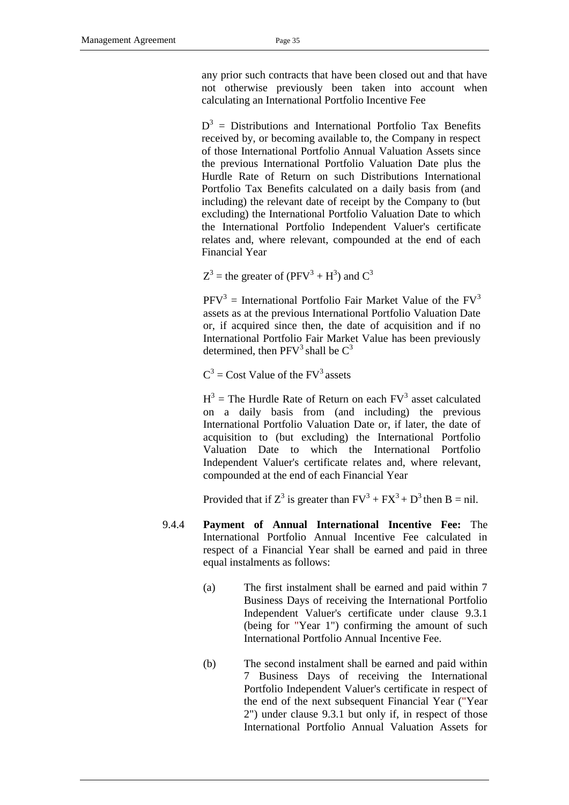any prior such contracts that have been closed out and that have not otherwise previously been taken into account when calculating an International Portfolio Incentive Fee

 $D<sup>3</sup>$  = Distributions and International Portfolio Tax Benefits received by, or becoming available to, the Company in respect of those International Portfolio Annual Valuation Assets since the previous International Portfolio Valuation Date plus the Hurdle Rate of Return on such Distributions International Portfolio Tax Benefits calculated on a daily basis from (and including) the relevant date of receipt by the Company to (but excluding) the International Portfolio Valuation Date to which the International Portfolio Independent Valuer's certificate relates and, where relevant, compounded at the end of each Financial Year

 $Z^3$  = the greater of (PFV<sup>3</sup> + H<sup>3</sup>) and C<sup>3</sup>

 $PFV<sup>3</sup>$  = International Portfolio Fair Market Value of the  $FV<sup>3</sup>$ assets as at the previous International Portfolio Valuation Date or, if acquired since then, the date of acquisition and if no International Portfolio Fair Market Value has been previously determined, then  $PFV^3$  shall be  $C^3$ 

 $C^3$  = Cost Value of the FV<sup>3</sup> assets

 $H^3$  = The Hurdle Rate of Return on each  $FV^3$  asset calculated on a daily basis from (and including) the previous International Portfolio Valuation Date or, if later, the date of acquisition to (but excluding) the International Portfolio Valuation Date to which the International Portfolio Independent Valuer's certificate relates and, where relevant, compounded at the end of each Financial Year

Provided that if  $Z^3$  is greater than  $FV^3 + FX^3 + D^3$  then B = nil.

- 9.4.4 **Payment of Annual International Incentive Fee:** The International Portfolio Annual Incentive Fee calculated in respect of a Financial Year shall be earned and paid in three equal instalments as follows:
	- (a) The first instalment shall be earned and paid within 7 Business Days of receiving the International Portfolio Independent Valuer's certificate under clause 9.3.1 (being for "Year 1") confirming the amount of such International Portfolio Annual Incentive Fee.
	- (b) The second instalment shall be earned and paid within 7 Business Days of receiving the International Portfolio Independent Valuer's certificate in respect of the end of the next subsequent Financial Year ("Year 2") under clause 9.3.1 but only if, in respect of those International Portfolio Annual Valuation Assets for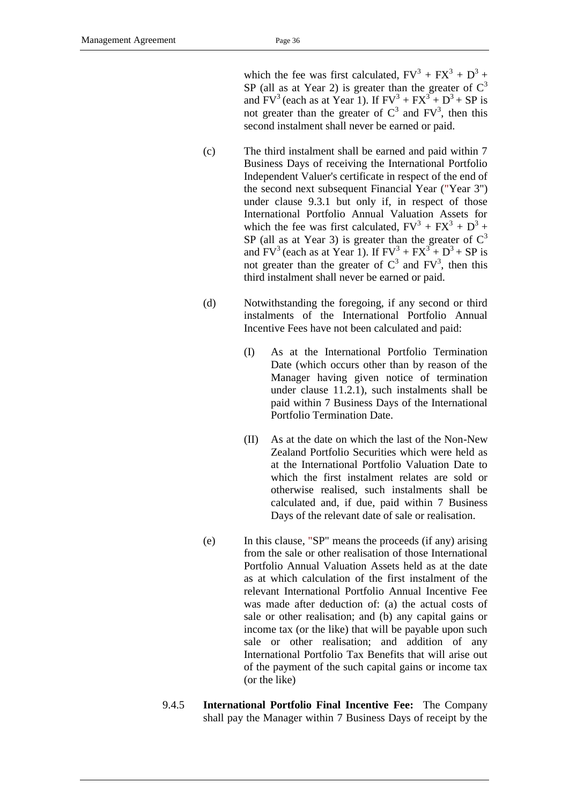which the fee was first calculated,  $FV^3 + FX^3 + D^3 +$ SP (all as at Year 2) is greater than the greater of  $C<sup>3</sup>$ and  $FV^3$  (each as at Year 1). If  $FV^3 + FX^3 + D^3 + SP$  is not greater than the greater of  $C^3$  and  $FV^3$ , then this second instalment shall never be earned or paid.

- (c) The third instalment shall be earned and paid within 7 Business Days of receiving the International Portfolio Independent Valuer's certificate in respect of the end of the second next subsequent Financial Year ("Year 3") under clause 9.3.1 but only if, in respect of those International Portfolio Annual Valuation Assets for which the fee was first calculated,  $FV^3 + FX^3 + D^3 +$ SP (all as at Year 3) is greater than the greater of  $C<sup>3</sup>$ and  $FV^3$  (each as at Year 1). If  $FV^3 + FX^3 + D^3 + SP$  is not greater than the greater of  $C^3$  and  $FV^3$ , then this third instalment shall never be earned or paid.
- (d) Notwithstanding the foregoing, if any second or third instalments of the International Portfolio Annual Incentive Fees have not been calculated and paid:
	- (I) As at the International Portfolio Termination Date (which occurs other than by reason of the Manager having given notice of termination under clause 11.2.1), such instalments shall be paid within 7 Business Days of the International Portfolio Termination Date.
	- (II) As at the date on which the last of the Non-New Zealand Portfolio Securities which were held as at the International Portfolio Valuation Date to which the first instalment relates are sold or otherwise realised, such instalments shall be calculated and, if due, paid within 7 Business Days of the relevant date of sale or realisation.
- (e) In this clause, "SP" means the proceeds (if any) arising from the sale or other realisation of those International Portfolio Annual Valuation Assets held as at the date as at which calculation of the first instalment of the relevant International Portfolio Annual Incentive Fee was made after deduction of: (a) the actual costs of sale or other realisation; and (b) any capital gains or income tax (or the like) that will be payable upon such sale or other realisation; and addition of any International Portfolio Tax Benefits that will arise out of the payment of the such capital gains or income tax (or the like)
- 9.4.5 **International Portfolio Final Incentive Fee:** The Company shall pay the Manager within 7 Business Days of receipt by the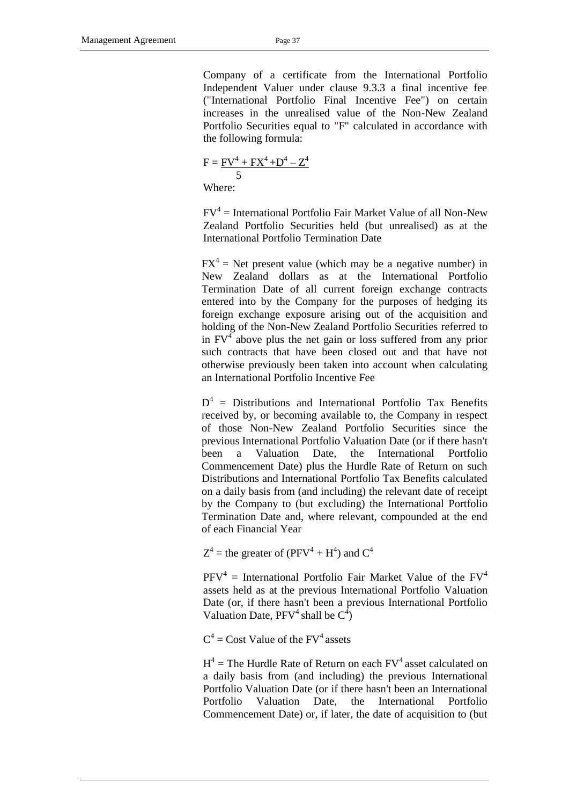Company of a certificate from the International Portfolio Independent Valuer under clause 9.3.3 a final incentive fee ("International Portfolio Final Incentive Fee") on certain increases in the unrealised value of the Non-New Zealand Portfolio Securities equal to "F" calculated in accordance with the following formula:

$$
F = \frac{FV^4 + FX^4 + D^4 - Z^4}{5}
$$

Where:

 $FV^4$  = International Portfolio Fair Market Value of all Non-New Zealand Portfolio Securities held (but unrealised) as at the International Portfolio Termination Date

 $FX^4$  = Net present value (which may be a negative number) in New Zealand dollars as at the International Portfolio Termination Date of all current foreign exchange contracts entered into by the Company for the purposes of hedging its foreign exchange exposure arising out of the acquisition and holding of the Non-New Zealand Portfolio Securities referred to in  $FV<sup>4</sup>$  above plus the net gain or loss suffered from any prior such contracts that have been closed out and that have not otherwise previously been taken into account when calculating an International Portfolio Incentive Fee

 $D^4$  = Distributions and International Portfolio Tax Benefits received by, or becoming available to, the Company in respect of those Non-New Zealand Portfolio Securities since the previous International Portfolio Valuation Date (or if there hasn't been a Valuation Date, the International Portfolio Commencement Date) plus the Hurdle Rate of Return on such Distributions and International Portfolio Tax Benefits calculated on a daily basis from (and including) the relevant date of receipt by the Company to (but excluding) the International Portfolio Termination Date and, where relevant, compounded at the end of each Financial Year

 $Z^4$  = the greater of (PFV<sup>4</sup> + H<sup>4</sup>) and C<sup>4</sup>

 $PFV^4$  = International Portfolio Fair Market Value of the  $FV^4$ assets held as at the previous International Portfolio Valuation Date (or, if there hasn't been a previous International Portfolio Valuation Date,  $PFV^4$  shall be  $C^4$ )

 $C^4$  = Cost Value of the FV<sup>4</sup> assets

 $H^4$  = The Hurdle Rate of Return on each  $FV^4$  asset calculated on a daily basis from (and including) the previous International Portfolio Valuation Date (or if there hasn't been an International Portfolio Valuation Date, the International Portfolio Commencement Date) or, if later, the date of acquisition to (but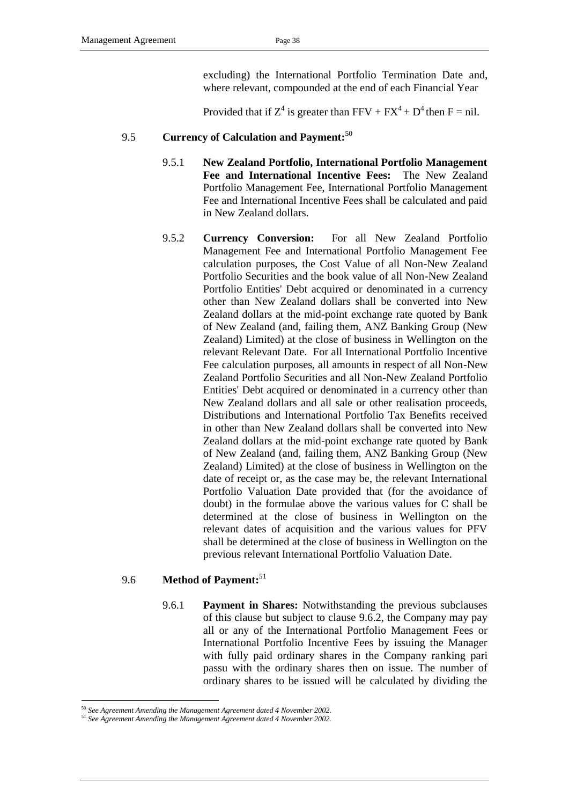excluding) the International Portfolio Termination Date and, where relevant, compounded at the end of each Financial Year

Provided that if  $Z^4$  is greater than FFV +  $FX^4 + D^4$  then F = nil.

## 9.5 **Currency of Calculation and Payment:** 50

- 9.5.1 **New Zealand Portfolio, International Portfolio Management Fee and International Incentive Fees:** The New Zealand Portfolio Management Fee, International Portfolio Management Fee and International Incentive Fees shall be calculated and paid in New Zealand dollars.
- 9.5.2 **Currency Conversion:** For all New Zealand Portfolio Management Fee and International Portfolio Management Fee calculation purposes, the Cost Value of all Non-New Zealand Portfolio Securities and the book value of all Non-New Zealand Portfolio Entities' Debt acquired or denominated in a currency other than New Zealand dollars shall be converted into New Zealand dollars at the mid-point exchange rate quoted by Bank of New Zealand (and, failing them, ANZ Banking Group (New Zealand) Limited) at the close of business in Wellington on the relevant Relevant Date. For all International Portfolio Incentive Fee calculation purposes, all amounts in respect of all Non-New Zealand Portfolio Securities and all Non-New Zealand Portfolio Entities' Debt acquired or denominated in a currency other than New Zealand dollars and all sale or other realisation proceeds, Distributions and International Portfolio Tax Benefits received in other than New Zealand dollars shall be converted into New Zealand dollars at the mid-point exchange rate quoted by Bank of New Zealand (and, failing them, ANZ Banking Group (New Zealand) Limited) at the close of business in Wellington on the date of receipt or, as the case may be, the relevant International Portfolio Valuation Date provided that (for the avoidance of doubt) in the formulae above the various values for C shall be determined at the close of business in Wellington on the relevant dates of acquisition and the various values for PFV shall be determined at the close of business in Wellington on the previous relevant International Portfolio Valuation Date.

## 9.6 **Method of Payment:** 51

9.6.1 **Payment in Shares:** Notwithstanding the previous subclauses of this clause but subject to clause [9.6.2,](#page-42-0) the Company may pay all or any of the International Portfolio Management Fees or International Portfolio Incentive Fees by issuing the Manager with fully paid ordinary shares in the Company ranking pari passu with the ordinary shares then on issue. The number of ordinary shares to be issued will be calculated by dividing the

<sup>-</sup><sup>50</sup> *See Agreement Amending the Management Agreement dated 4 November 2002.*

<sup>51</sup> *See Agreement Amending the Management Agreement dated 4 November 2002.*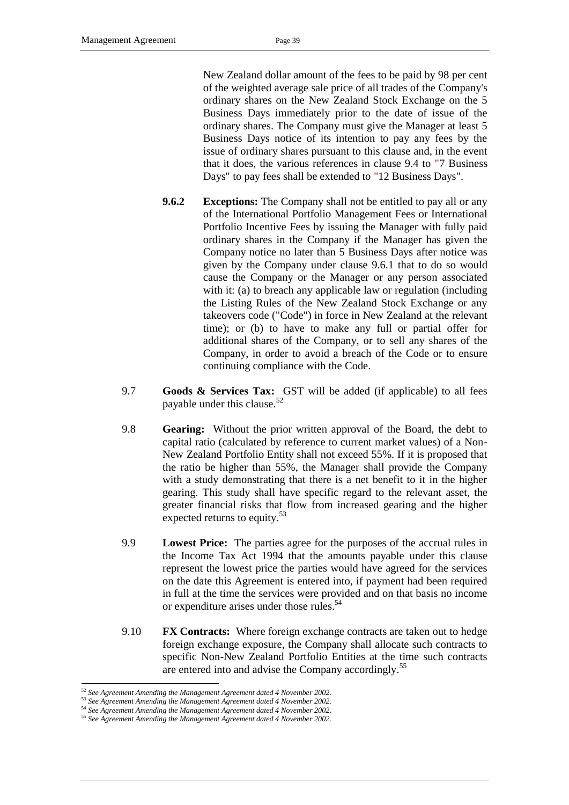New Zealand dollar amount of the fees to be paid by 98 per cent of the weighted average sale price of all trades of the Company's ordinary shares on the New Zealand Stock Exchange on the 5 Business Days immediately prior to the date of issue of the ordinary shares. The Company must give the Manager at least 5 Business Days notice of its intention to pay any fees by the issue of ordinary shares pursuant to this clause and, in the event that it does, the various references in clause 9.4 to "7 Business Days" to pay fees shall be extended to "12 Business Days".

- <span id="page-42-0"></span>**9.6.2 Exceptions:** The Company shall not be entitled to pay all or any of the International Portfolio Management Fees or International Portfolio Incentive Fees by issuing the Manager with fully paid ordinary shares in the Company if the Manager has given the Company notice no later than 5 Business Days after notice was given by the Company under clause 9.6.1 that to do so would cause the Company or the Manager or any person associated with it: (a) to breach any applicable law or regulation (including the Listing Rules of the New Zealand Stock Exchange or any takeovers code ("Code") in force in New Zealand at the relevant time); or (b) to have to make any full or partial offer for additional shares of the Company, or to sell any shares of the Company, in order to avoid a breach of the Code or to ensure continuing compliance with the Code.
- 9.7 **Goods & Services Tax:** GST will be added (if applicable) to all fees payable under this clause.<sup>52</sup>
- 9.8 **Gearing:** Without the prior written approval of the Board, the debt to capital ratio (calculated by reference to current market values) of a Non-New Zealand Portfolio Entity shall not exceed 55%. If it is proposed that the ratio be higher than 55%, the Manager shall provide the Company with a study demonstrating that there is a net benefit to it in the higher gearing. This study shall have specific regard to the relevant asset, the greater financial risks that flow from increased gearing and the higher expected returns to equity.<sup>53</sup>
- 9.9 **Lowest Price:** The parties agree for the purposes of the accrual rules in the Income Tax Act 1994 that the amounts payable under this clause represent the lowest price the parties would have agreed for the services on the date this Agreement is entered into, if payment had been required in full at the time the services were provided and on that basis no income or expenditure arises under those rules.<sup>54</sup>
- 9.10 **FX Contracts:** Where foreign exchange contracts are taken out to hedge foreign exchange exposure, the Company shall allocate such contracts to specific Non-New Zealand Portfolio Entities at the time such contracts are entered into and advise the Company accordingly.<sup>55</sup>

<sup>52</sup> *See Agreement Amending the Management Agreement dated 4 November 2002.*

<sup>53</sup> *See Agreement Amending the Management Agreement dated 4 November 2002.*

<sup>54</sup> *See Agreement Amending the Management Agreement dated 4 November 2002.*

<sup>55</sup> *See Agreement Amending the Management Agreement dated 4 November 2002.*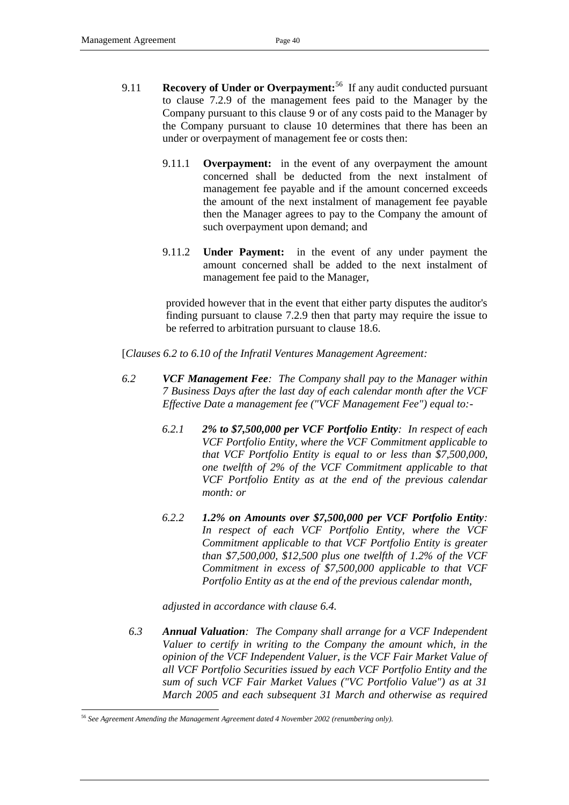- 9.11 **Recovery of Under or Overpayment:**<sup>56</sup> If any audit conducted pursuant to clause [7.2.9](#page-30-0) of the management fees paid to the Manager by the Company pursuant to this clause [9](#page-32-0) or of any costs paid to the Manager by the Company pursuant to clause [10](#page-46-0) determines that there has been an under or overpayment of management fee or costs then:
	- 9.11.1 **Overpayment:** in the event of any overpayment the amount concerned shall be deducted from the next instalment of management fee payable and if the amount concerned exceeds the amount of the next instalment of management fee payable then the Manager agrees to pay to the Company the amount of such overpayment upon demand; and
	- 9.11.2 **Under Payment:** in the event of any under payment the amount concerned shall be added to the next instalment of management fee paid to the Manager,

provided however that in the event that either party disputes the auditor's finding pursuant to clause [7.2.9](#page-30-0) then that party may require the issue to be referred to arbitration pursuant to clause [18.6.](#page-56-0)

[*Clauses 6.2 to 6.10 of the Infratil Ventures Management Agreement:*

- *6.2 VCF Management Fee: The Company shall pay to the Manager within 7 Business Days after the last day of each calendar month after the VCF Effective Date a management fee ("VCF Management Fee") equal to:-*
	- *6.2.1 2% to \$7,500,000 per VCF Portfolio Entity: In respect of each VCF Portfolio Entity, where the VCF Commitment applicable to that VCF Portfolio Entity is equal to or less than \$7,500,000, one twelfth of 2% of the VCF Commitment applicable to that VCF Portfolio Entity as at the end of the previous calendar month: or*
	- *6.2.2 1.2% on Amounts over \$7,500,000 per VCF Portfolio Entity: In respect of each VCF Portfolio Entity, where the VCF Commitment applicable to that VCF Portfolio Entity is greater than \$7,500,000, \$12,500 plus one twelfth of 1.2% of the VCF Commitment in excess of \$7,500,000 applicable to that VCF Portfolio Entity as at the end of the previous calendar month,*

*adjusted in accordance with clause 6.4.*

*6.3 Annual Valuation: The Company shall arrange for a VCF Independent Valuer to certify in writing to the Company the amount which, in the opinion of the VCF Independent Valuer, is the VCF Fair Market Value of all VCF Portfolio Securities issued by each VCF Portfolio Entity and the sum of such VCF Fair Market Values ("VC Portfolio Value") as at 31 March 2005 and each subsequent 31 March and otherwise as required* 

<sup>56</sup> *See Agreement Amending the Management Agreement dated 4 November 2002 (renumbering only).*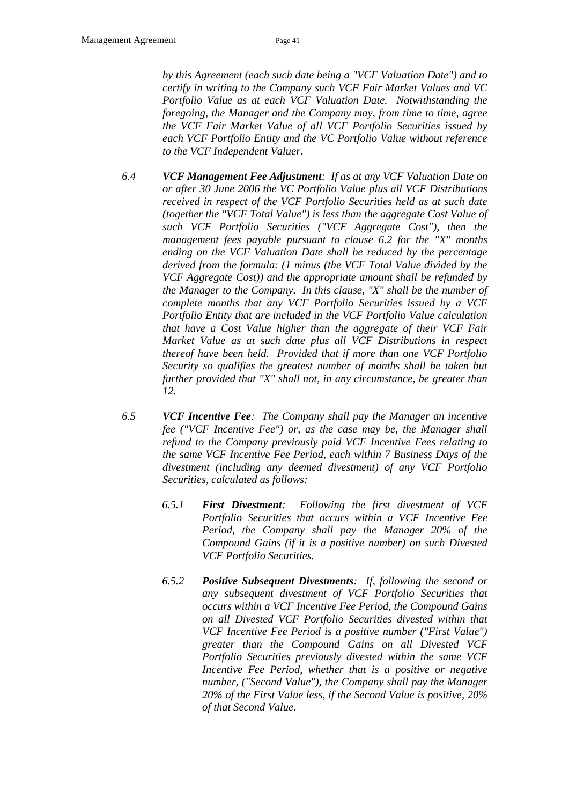*by this Agreement (each such date being a "VCF Valuation Date") and to certify in writing to the Company such VCF Fair Market Values and VC Portfolio Value as at each VCF Valuation Date. Notwithstanding the foregoing, the Manager and the Company may, from time to time, agree the VCF Fair Market Value of all VCF Portfolio Securities issued by each VCF Portfolio Entity and the VC Portfolio Value without reference to the VCF Independent Valuer.* 

- *6.4 VCF Management Fee Adjustment: If as at any VCF Valuation Date on or after 30 June 2006 the VC Portfolio Value plus all VCF Distributions received in respect of the VCF Portfolio Securities held as at such date (together the "VCF Total Value") is less than the aggregate Cost Value of such VCF Portfolio Securities ("VCF Aggregate Cost"), then the management fees payable pursuant to clause 6.2 for the "X" months ending on the VCF Valuation Date shall be reduced by the percentage derived from the formula: (1 minus (the VCF Total Value divided by the VCF Aggregate Cost)) and the appropriate amount shall be refunded by the Manager to the Company. In this clause, "X" shall be the number of complete months that any VCF Portfolio Securities issued by a VCF Portfolio Entity that are included in the VCF Portfolio Value calculation that have a Cost Value higher than the aggregate of their VCF Fair Market Value as at such date plus all VCF Distributions in respect thereof have been held. Provided that if more than one VCF Portfolio Security so qualifies the greatest number of months shall be taken but further provided that "X" shall not, in any circumstance, be greater than 12.*
- *6.5 VCF Incentive Fee: The Company shall pay the Manager an incentive fee ("VCF Incentive Fee") or, as the case may be, the Manager shall refund to the Company previously paid VCF Incentive Fees relating to the same VCF Incentive Fee Period, each within 7 Business Days of the divestment (including any deemed divestment) of any VCF Portfolio Securities, calculated as follows:*
	- *6.5.1 First Divestment: Following the first divestment of VCF Portfolio Securities that occurs within a VCF Incentive Fee Period, the Company shall pay the Manager 20% of the Compound Gains (if it is a positive number) on such Divested VCF Portfolio Securities.*
	- *6.5.2 Positive Subsequent Divestments: If, following the second or any subsequent divestment of VCF Portfolio Securities that occurs within a VCF Incentive Fee Period, the Compound Gains on all Divested VCF Portfolio Securities divested within that VCF Incentive Fee Period is a positive number ("First Value") greater than the Compound Gains on all Divested VCF Portfolio Securities previously divested within the same VCF Incentive Fee Period, whether that is a positive or negative number, ("Second Value"), the Company shall pay the Manager 20% of the First Value less, if the Second Value is positive, 20% of that Second Value.*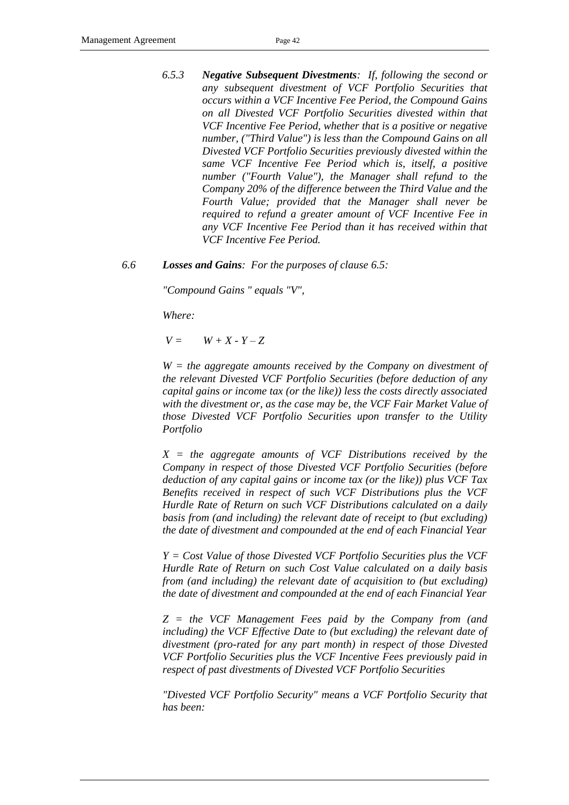- *6.5.3 Negative Subsequent Divestments: If, following the second or any subsequent divestment of VCF Portfolio Securities that occurs within a VCF Incentive Fee Period, the Compound Gains on all Divested VCF Portfolio Securities divested within that VCF Incentive Fee Period, whether that is a positive or negative number, ("Third Value") is less than the Compound Gains on all Divested VCF Portfolio Securities previously divested within the same VCF Incentive Fee Period which is, itself, a positive number ("Fourth Value"), the Manager shall refund to the Company 20% of the difference between the Third Value and the Fourth Value; provided that the Manager shall never be required to refund a greater amount of VCF Incentive Fee in any VCF Incentive Fee Period than it has received within that VCF Incentive Fee Period.*
- *6.6 Losses and Gains: For the purposes of clause 6.5:*

*"Compound Gains " equals "V",*

*Where:*

 $V =$   $W + X - Y - Z$ 

*W = the aggregate amounts received by the Company on divestment of the relevant Divested VCF Portfolio Securities (before deduction of any capital gains or income tax (or the like)) less the costs directly associated with the divestment or, as the case may be, the VCF Fair Market Value of those Divested VCF Portfolio Securities upon transfer to the Utility Portfolio*

*X = the aggregate amounts of VCF Distributions received by the Company in respect of those Divested VCF Portfolio Securities (before deduction of any capital gains or income tax (or the like)) plus VCF Tax Benefits received in respect of such VCF Distributions plus the VCF Hurdle Rate of Return on such VCF Distributions calculated on a daily basis from (and including) the relevant date of receipt to (but excluding) the date of divestment and compounded at the end of each Financial Year*

*Y = Cost Value of those Divested VCF Portfolio Securities plus the VCF Hurdle Rate of Return on such Cost Value calculated on a daily basis from (and including) the relevant date of acquisition to (but excluding) the date of divestment and compounded at the end of each Financial Year*

*Z = the VCF Management Fees paid by the Company from (and including) the VCF Effective Date to (but excluding) the relevant date of divestment (pro-rated for any part month) in respect of those Divested VCF Portfolio Securities plus the VCF Incentive Fees previously paid in respect of past divestments of Divested VCF Portfolio Securities*

*"Divested VCF Portfolio Security" means a VCF Portfolio Security that has been:*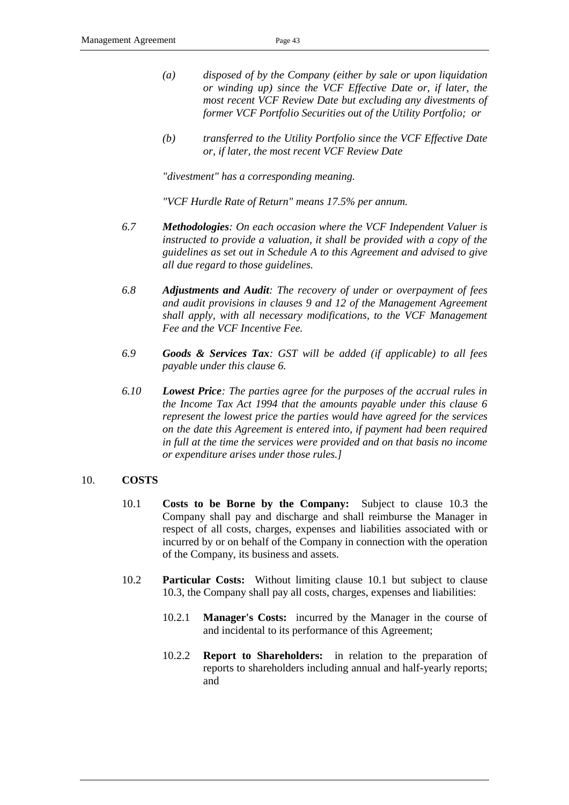- *(a) disposed of by the Company (either by sale or upon liquidation or winding up) since the VCF Effective Date or, if later, the most recent VCF Review Date but excluding any divestments of former VCF Portfolio Securities out of the Utility Portfolio; or*
- *(b) transferred to the Utility Portfolio since the VCF Effective Date or, if later, the most recent VCF Review Date*

*"divestment" has a corresponding meaning.*

*"VCF Hurdle Rate of Return" means 17.5% per annum.*

- *6.7 Methodologies: On each occasion where the VCF Independent Valuer is instructed to provide a valuation, it shall be provided with a copy of the guidelines as set out in Schedule A to this Agreement and advised to give all due regard to those guidelines.*
- *6.8 Adjustments and Audit: The recovery of under or overpayment of fees and audit provisions in clauses 9 and 12 of the Management Agreement shall apply, with all necessary modifications, to the VCF Management Fee and the VCF Incentive Fee.*
- *6.9 Goods & Services Tax: GST will be added (if applicable) to all fees payable under this clause 6.*
- *6.10 Lowest Price: The parties agree for the purposes of the accrual rules in the Income Tax Act 1994 that the amounts payable under this clause 6 represent the lowest price the parties would have agreed for the services on the date this Agreement is entered into, if payment had been required in full at the time the services were provided and on that basis no income or expenditure arises under those rules.]*

#### <span id="page-46-1"></span><span id="page-46-0"></span>10. **COSTS**

- 10.1 **Costs to be Borne by the Company:** Subject to clause [10.3](#page-47-1) the Company shall pay and discharge and shall reimburse the Manager in respect of all costs, charges, expenses and liabilities associated with or incurred by or on behalf of the Company in connection with the operation of the Company, its business and assets.
- 10.2 **Particular Costs:** Without limiting clause [10.1](#page-46-1) but subject to clause [10.3,](#page-47-1) the Company shall pay all costs, charges, expenses and liabilities:
	- 10.2.1 **Manager's Costs:** incurred by the Manager in the course of and incidental to its performance of this Agreement;
	- 10.2.2 **Report to Shareholders:** in relation to the preparation of reports to shareholders including annual and half-yearly reports; and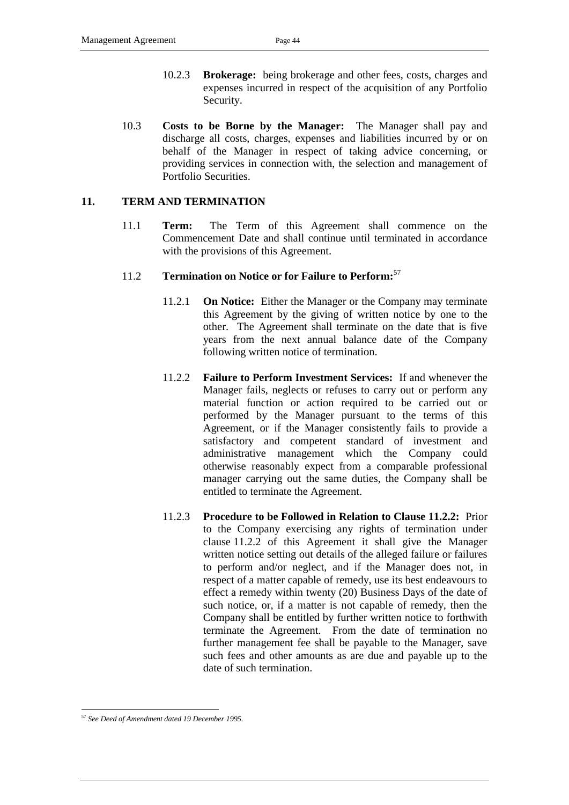- 10.2.3 **Brokerage:** being brokerage and other fees, costs, charges and expenses incurred in respect of the acquisition of any Portfolio Security.
- <span id="page-47-1"></span>10.3 **Costs to be Borne by the Manager:** The Manager shall pay and discharge all costs, charges, expenses and liabilities incurred by or on behalf of the Manager in respect of taking advice concerning, or providing services in connection with, the selection and management of Portfolio Securities.

## <span id="page-47-0"></span>**11. TERM AND TERMINATION**

11.1 **Term:** The Term of this Agreement shall commence on the Commencement Date and shall continue until terminated in accordance with the provisions of this Agreement.

## 11.2 **Termination on Notice or for Failure to Perform:**<sup>57</sup>

- 11.2.1 **On Notice:** Either the Manager or the Company may terminate this Agreement by the giving of written notice by one to the other. The Agreement shall terminate on the date that is five years from the next annual balance date of the Company following written notice of termination.
- 11.2.2 **Failure to Perform Investment Services:** If and whenever the Manager fails, neglects or refuses to carry out or perform any material function or action required to be carried out or performed by the Manager pursuant to the terms of this Agreement, or if the Manager consistently fails to provide a satisfactory and competent standard of investment and administrative management which the Company could otherwise reasonably expect from a comparable professional manager carrying out the same duties, the Company shall be entitled to terminate the Agreement.
- 11.2.3 **Procedure to be Followed in Relation to Clause 11.2.2:** Prior to the Company exercising any rights of termination under clause 11.2.2 of this Agreement it shall give the Manager written notice setting out details of the alleged failure or failures to perform and/or neglect, and if the Manager does not, in respect of a matter capable of remedy, use its best endeavours to effect a remedy within twenty (20) Business Days of the date of such notice, or, if a matter is not capable of remedy, then the Company shall be entitled by further written notice to forthwith terminate the Agreement. From the date of termination no further management fee shall be payable to the Manager, save such fees and other amounts as are due and payable up to the date of such termination.

<sup>-</sup><sup>57</sup> *See Deed of Amendment dated 19 December 1995.*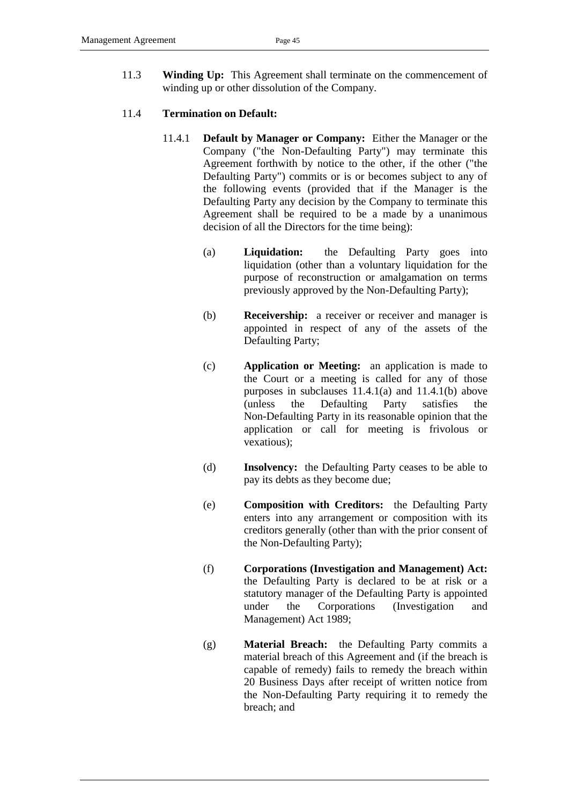11.3 **Winding Up:** This Agreement shall terminate on the commencement of winding up or other dissolution of the Company.

#### <span id="page-48-1"></span><span id="page-48-0"></span>11.4 **Termination on Default:**

- 11.4.1 **Default by Manager or Company:** Either the Manager or the Company ("the Non-Defaulting Party") may terminate this Agreement forthwith by notice to the other, if the other ("the Defaulting Party") commits or is or becomes subject to any of the following events (provided that if the Manager is the Defaulting Party any decision by the Company to terminate this Agreement shall be required to be a made by a unanimous decision of all the Directors for the time being):
	- (a) **Liquidation:** the Defaulting Party goes into liquidation (other than a voluntary liquidation for the purpose of reconstruction or amalgamation on terms previously approved by the Non-Defaulting Party);
	- (b) **Receivership:** a receiver or receiver and manager is appointed in respect of any of the assets of the Defaulting Party;
	- (c) **Application or Meeting:** an application is made to the Court or a meeting is called for any of those purposes in subclauses [11.4.1\(a\)](#page-48-1) and [11.4.1\(b\)](#page-48-1) above (unless the Defaulting Party satisfies the Non-Defaulting Party in its reasonable opinion that the application or call for meeting is frivolous or vexatious);
	- (d) **Insolvency:** the Defaulting Party ceases to be able to pay its debts as they become due;
	- (e) **Composition with Creditors:** the Defaulting Party enters into any arrangement or composition with its creditors generally (other than with the prior consent of the Non-Defaulting Party);
	- (f) **Corporations (Investigation and Management) Act:**  the Defaulting Party is declared to be at risk or a statutory manager of the Defaulting Party is appointed under the Corporations (Investigation and Management) Act 1989;
	- (g) **Material Breach:** the Defaulting Party commits a material breach of this Agreement and (if the breach is capable of remedy) fails to remedy the breach within 20 Business Days after receipt of written notice from the Non-Defaulting Party requiring it to remedy the breach; and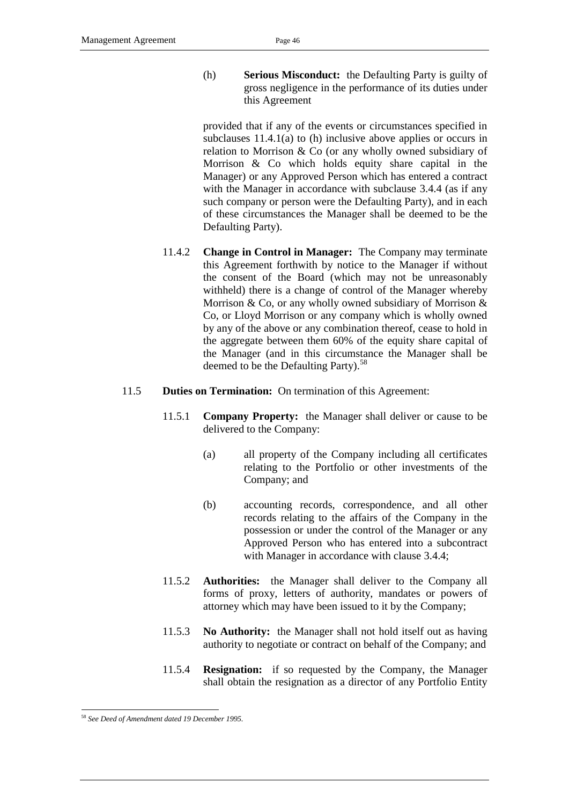<span id="page-49-0"></span>(h) **Serious Misconduct:** the Defaulting Party is guilty of gross negligence in the performance of its duties under this Agreement

provided that if any of the events or circumstances specified in subclauses [11.4.1\(a\)](#page-48-1) to [\(h\)](#page-49-0) inclusive above applies or occurs in relation to Morrison & Co (or any wholly owned subsidiary of Morrison & Co which holds equity share capital in the Manager) or any Approved Person which has entered a contract with the Manager in accordance with subclause [3.4.4](#page-19-2) (as if any such company or person were the Defaulting Party), and in each of these circumstances the Manager shall be deemed to be the Defaulting Party).

- 11.4.2 **Change in Control in Manager:** The Company may terminate this Agreement forthwith by notice to the Manager if without the consent of the Board (which may not be unreasonably withheld) there is a change of control of the Manager whereby Morrison & Co, or any wholly owned subsidiary of Morrison & Co, or Lloyd Morrison or any company which is wholly owned by any of the above or any combination thereof, cease to hold in the aggregate between them 60% of the equity share capital of the Manager (and in this circumstance the Manager shall be deemed to be the Defaulting Party).<sup>58</sup>
- <span id="page-49-1"></span>11.5 **Duties on Termination:** On termination of this Agreement:
	- 11.5.1 **Company Property:** the Manager shall deliver or cause to be delivered to the Company:
		- (a) all property of the Company including all certificates relating to the Portfolio or other investments of the Company; and
		- (b) accounting records, correspondence, and all other records relating to the affairs of the Company in the possession or under the control of the Manager or any Approved Person who has entered into a subcontract with Manager in accordance with clause [3.4.4;](#page-19-2)
	- 11.5.2 **Authorities:** the Manager shall deliver to the Company all forms of proxy, letters of authority, mandates or powers of attorney which may have been issued to it by the Company;
	- 11.5.3 **No Authority:** the Manager shall not hold itself out as having authority to negotiate or contract on behalf of the Company; and
	- 11.5.4 **Resignation:** if so requested by the Company, the Manager shall obtain the resignation as a director of any Portfolio Entity

<sup>58</sup> *See Deed of Amendment dated 19 December 1995.*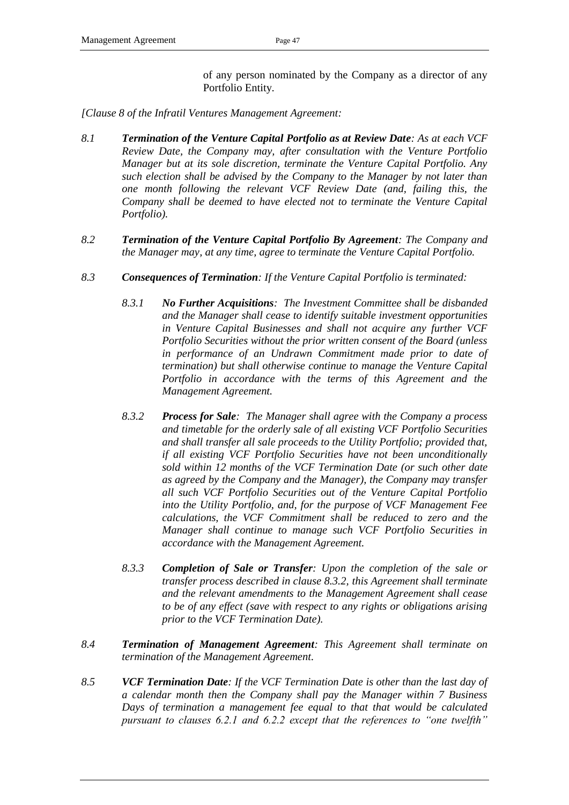of any person nominated by the Company as a director of any Portfolio Entity.

*[Clause 8 of the Infratil Ventures Management Agreement:*

- *8.1 Termination of the Venture Capital Portfolio as at Review Date: As at each VCF Review Date, the Company may, after consultation with the Venture Portfolio Manager but at its sole discretion, terminate the Venture Capital Portfolio. Any such election shall be advised by the Company to the Manager by not later than one month following the relevant VCF Review Date (and, failing this, the Company shall be deemed to have elected not to terminate the Venture Capital Portfolio).*
- *8.2 Termination of the Venture Capital Portfolio By Agreement: The Company and the Manager may, at any time, agree to terminate the Venture Capital Portfolio.*
- *8.3 Consequences of Termination: If the Venture Capital Portfolio is terminated:*
	- *8.3.1 No Further Acquisitions: The Investment Committee shall be disbanded and the Manager shall cease to identify suitable investment opportunities in Venture Capital Businesses and shall not acquire any further VCF Portfolio Securities without the prior written consent of the Board (unless in performance of an Undrawn Commitment made prior to date of termination) but shall otherwise continue to manage the Venture Capital Portfolio in accordance with the terms of this Agreement and the Management Agreement.*
	- *8.3.2 Process for Sale: The Manager shall agree with the Company a process and timetable for the orderly sale of all existing VCF Portfolio Securities and shall transfer all sale proceeds to the Utility Portfolio; provided that, if all existing VCF Portfolio Securities have not been unconditionally sold within 12 months of the VCF Termination Date (or such other date as agreed by the Company and the Manager), the Company may transfer all such VCF Portfolio Securities out of the Venture Capital Portfolio into the Utility Portfolio, and, for the purpose of VCF Management Fee calculations, the VCF Commitment shall be reduced to zero and the Manager shall continue to manage such VCF Portfolio Securities in accordance with the Management Agreement.*
	- *8.3.3 Completion of Sale or Transfer: Upon the completion of the sale or transfer process described in clause 8.3.2, this Agreement shall terminate and the relevant amendments to the Management Agreement shall cease to be of any effect (save with respect to any rights or obligations arising prior to the VCF Termination Date).*
- *8.4 Termination of Management Agreement: This Agreement shall terminate on termination of the Management Agreement.*
- *8.5 VCF Termination Date: If the VCF Termination Date is other than the last day of a calendar month then the Company shall pay the Manager within 7 Business Days of termination a management fee equal to that that would be calculated pursuant to clauses 6.2.1 and 6.2.2 except that the references to "one twelfth"*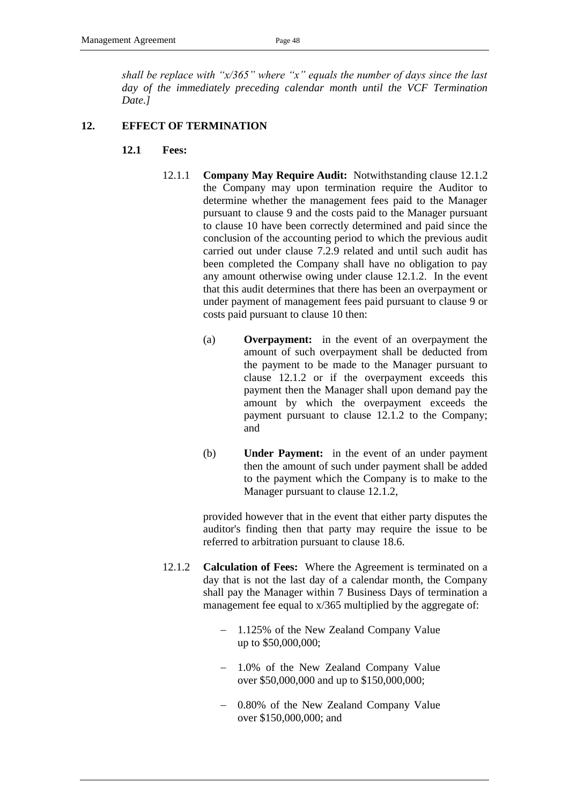*shall be replace with "x/365" where "x" equals the number of days since the last day of the immediately preceding calendar month until the VCF Termination Date.]*

#### <span id="page-51-1"></span>**12. EFFECT OF TERMINATION**

- **12.1 Fees:** 
	- 12.1.1 **Company May Require Audit:** Notwithstanding clause [12.1.2](#page-51-0) the Company may upon termination require the Auditor to determine whether the management fees paid to the Manager pursuant to clause [9](#page-32-0) and the costs paid to the Manager pursuant to clause [10](#page-46-0) have been correctly determined and paid since the conclusion of the accounting period to which the previous audit carried out under clause [7.2.9](#page-30-0) related and until such audit has been completed the Company shall have no obligation to pay any amount otherwise owing under clause [12.1.2.](#page-51-0) In the event that this audit determines that there has been an overpayment or under payment of management fees paid pursuant to clause 9 or costs paid pursuant to clause [10](#page-46-0) then:
		- (a) **Overpayment:** in the event of an overpayment the amount of such overpayment shall be deducted from the payment to be made to the Manager pursuant to clause [12.1.2](#page-51-0) or if the overpayment exceeds this payment then the Manager shall upon demand pay the amount by which the overpayment exceeds the payment pursuant to clause [12.1.2](#page-51-0) to the Company; and
		- (b) **Under Payment:** in the event of an under payment then the amount of such under payment shall be added to the payment which the Company is to make to the Manager pursuant to clause [12.1.2,](#page-51-0)

provided however that in the event that either party disputes the auditor's finding then that party may require the issue to be referred to arbitration pursuant to clause [18.6.](#page-56-0)

- <span id="page-51-0"></span>12.1.2 **Calculation of Fees:** Where the Agreement is terminated on a day that is not the last day of a calendar month, the Company shall pay the Manager within 7 Business Days of termination a management fee equal to  $x/365$  multiplied by the aggregate of:
	- 1.125% of the New Zealand Company Value up to \$50,000,000;
	- 1.0% of the New Zealand Company Value over \$50,000,000 and up to \$150,000,000;
	- 0.80% of the New Zealand Company Value over \$150,000,000; and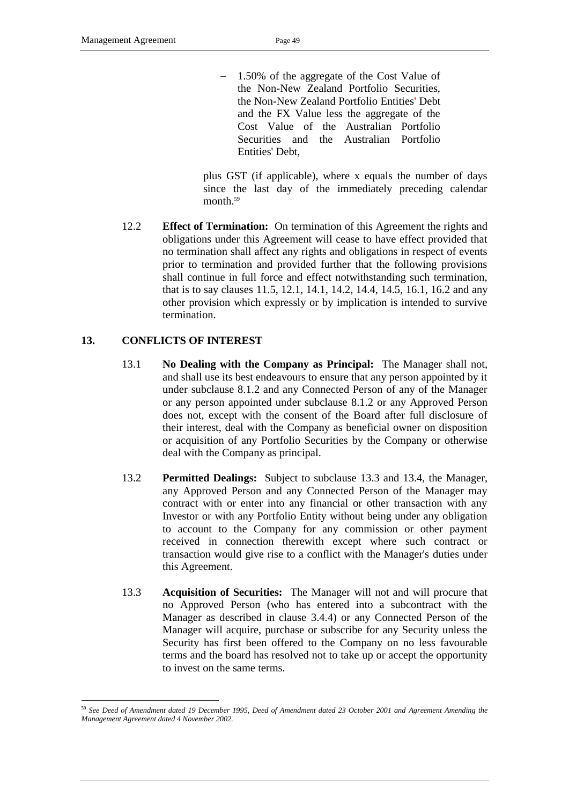1.50% of the aggregate of the Cost Value of the Non-New Zealand Portfolio Securities, the Non-New Zealand Portfolio Entities' Debt and the FX Value less the aggregate of the Cost Value of the Australian Portfolio Securities and the Australian Portfolio Entities' Debt,

plus GST (if applicable), where x equals the number of days since the last day of the immediately preceding calendar month.<sup>59</sup>

12.2 **Effect of Termination:** On termination of this Agreement the rights and obligations under this Agreement will cease to have effect provided that no termination shall affect any rights and obligations in respect of events prior to termination and provided further that the following provisions shall continue in full force and effect notwithstanding such termination, that is to say clauses [11.5,](#page-49-1) [12.1,](#page-51-1) [14.1,](#page-53-0) [14.2,](#page-53-1) [14.4,](#page-53-2) [14.5,](#page-54-1) [16.1,](#page-54-2) [16.2](#page-54-3) and any other provision which expressly or by implication is intended to survive termination.

## **13. CONFLICTS OF INTEREST**

- 13.1 **No Dealing with the Company as Principal:** The Manager shall not, and shall use its best endeavours to ensure that any person appointed by it under subclause [8.1.2](#page-32-1) and any Connected Person of any of the Manager or any person appointed under subclause [8.1.2](#page-32-1) or any Approved Person does not, except with the consent of the Board after full disclosure of their interest, deal with the Company as beneficial owner on disposition or acquisition of any Portfolio Securities by the Company or otherwise deal with the Company as principal.
- 13.2 **Permitted Dealings:** Subject to subclause [13.3](#page-52-0) and [13.4,](#page-53-3) the Manager, any Approved Person and any Connected Person of the Manager may contract with or enter into any financial or other transaction with any Investor or with any Portfolio Entity without being under any obligation to account to the Company for any commission or other payment received in connection therewith except where such contract or transaction would give rise to a conflict with the Manager's duties under this Agreement.
- <span id="page-52-0"></span>13.3 **Acquisition of Securities:** The Manager will not and will procure that no Approved Person (who has entered into a subcontract with the Manager as described in clause [3.4.4\)](#page-19-2) or any Connected Person of the Manager will acquire, purchase or subscribe for any Security unless the Security has first been offered to the Company on no less favourable terms and the board has resolved not to take up or accept the opportunity to invest on the same terms.

<sup>-</sup><sup>59</sup> *See Deed of Amendment dated 19 December 1995, Deed of Amendment dated 23 October 2001 and Agreement Amending the Management Agreement dated 4 November 2002.*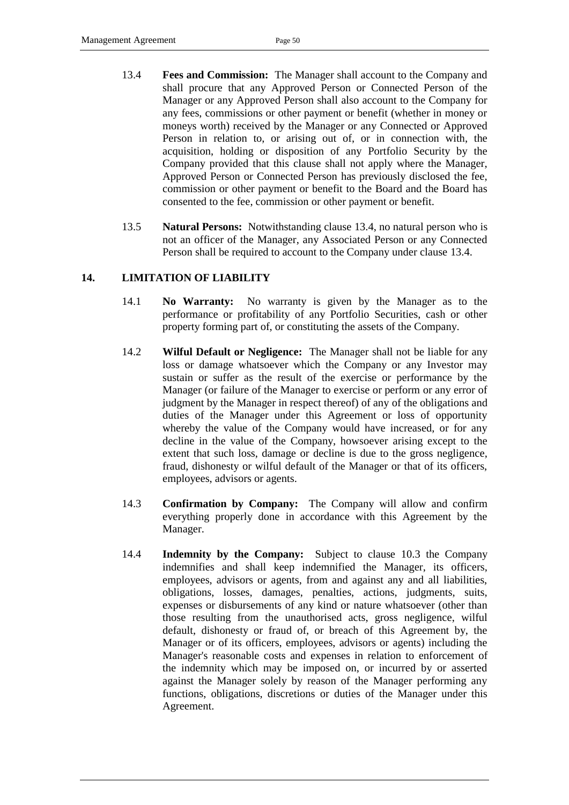- <span id="page-53-3"></span>13.4 **Fees and Commission:** The Manager shall account to the Company and shall procure that any Approved Person or Connected Person of the Manager or any Approved Person shall also account to the Company for any fees, commissions or other payment or benefit (whether in money or moneys worth) received by the Manager or any Connected or Approved Person in relation to, or arising out of, or in connection with, the acquisition, holding or disposition of any Portfolio Security by the Company provided that this clause shall not apply where the Manager, Approved Person or Connected Person has previously disclosed the fee, commission or other payment or benefit to the Board and the Board has consented to the fee, commission or other payment or benefit.
- 13.5 **Natural Persons:** Notwithstanding clause [13.4,](#page-53-3) no natural person who is not an officer of the Manager, any Associated Person or any Connected Person shall be required to account to the Company under clause [13.4.](#page-53-3)

## <span id="page-53-0"></span>**14. LIMITATION OF LIABILITY**

- 14.1 **No Warranty:** No warranty is given by the Manager as to the performance or profitability of any Portfolio Securities, cash or other property forming part of, or constituting the assets of the Company.
- <span id="page-53-1"></span>14.2 **Wilful Default or Negligence:** The Manager shall not be liable for any loss or damage whatsoever which the Company or any Investor may sustain or suffer as the result of the exercise or performance by the Manager (or failure of the Manager to exercise or perform or any error of judgment by the Manager in respect thereof) of any of the obligations and duties of the Manager under this Agreement or loss of opportunity whereby the value of the Company would have increased, or for any decline in the value of the Company, howsoever arising except to the extent that such loss, damage or decline is due to the gross negligence, fraud, dishonesty or wilful default of the Manager or that of its officers, employees, advisors or agents.
- 14.3 **Confirmation by Company:** The Company will allow and confirm everything properly done in accordance with this Agreement by the Manager.
- <span id="page-53-2"></span>14.4 **Indemnity by the Company:** Subject to clause [10.3](#page-47-1) the Company indemnifies and shall keep indemnified the Manager, its officers, employees, advisors or agents, from and against any and all liabilities, obligations, losses, damages, penalties, actions, judgments, suits, expenses or disbursements of any kind or nature whatsoever (other than those resulting from the unauthorised acts, gross negligence, wilful default, dishonesty or fraud of, or breach of this Agreement by, the Manager or of its officers, employees, advisors or agents) including the Manager's reasonable costs and expenses in relation to enforcement of the indemnity which may be imposed on, or incurred by or asserted against the Manager solely by reason of the Manager performing any functions, obligations, discretions or duties of the Manager under this Agreement.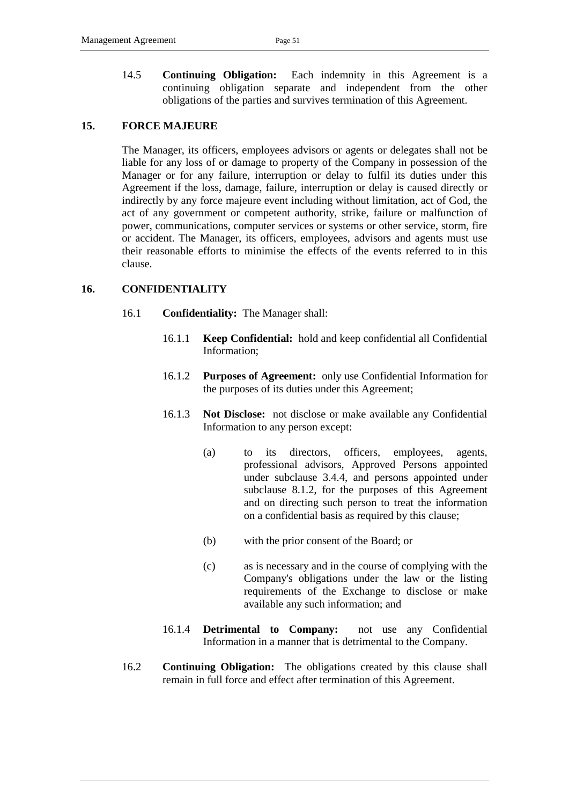<span id="page-54-1"></span>14.5 **Continuing Obligation:** Each indemnity in this Agreement is a continuing obligation separate and independent from the other obligations of the parties and survives termination of this Agreement.

## **15. FORCE MAJEURE**

The Manager, its officers, employees advisors or agents or delegates shall not be liable for any loss of or damage to property of the Company in possession of the Manager or for any failure, interruption or delay to fulfil its duties under this Agreement if the loss, damage, failure, interruption or delay is caused directly or indirectly by any force majeure event including without limitation, act of God, the act of any government or competent authority, strike, failure or malfunction of power, communications, computer services or systems or other service, storm, fire or accident. The Manager, its officers, employees, advisors and agents must use their reasonable efforts to minimise the effects of the events referred to in this clause.

#### <span id="page-54-2"></span><span id="page-54-0"></span>**16. CONFIDENTIALITY**

- 16.1 **Confidentiality:** The Manager shall:
	- 16.1.1 **Keep Confidential:** hold and keep confidential all Confidential Information;
	- 16.1.2 **Purposes of Agreement:** only use Confidential Information for the purposes of its duties under this Agreement;
	- 16.1.3 **Not Disclose:** not disclose or make available any Confidential Information to any person except:
		- (a) to its directors, officers, employees, agents, professional advisors, Approved Persons appointed under subclause [3.4.4,](#page-19-2) and persons appointed under subclause [8.1.2,](#page-32-1) for the purposes of this Agreement and on directing such person to treat the information on a confidential basis as required by this clause;
		- (b) with the prior consent of the Board; or
		- (c) as is necessary and in the course of complying with the Company's obligations under the law or the listing requirements of the Exchange to disclose or make available any such information; and
	- 16.1.4 **Detrimental to Company:** not use any Confidential Information in a manner that is detrimental to the Company.
- <span id="page-54-3"></span>16.2 **Continuing Obligation:** The obligations created by this clause shall remain in full force and effect after termination of this Agreement.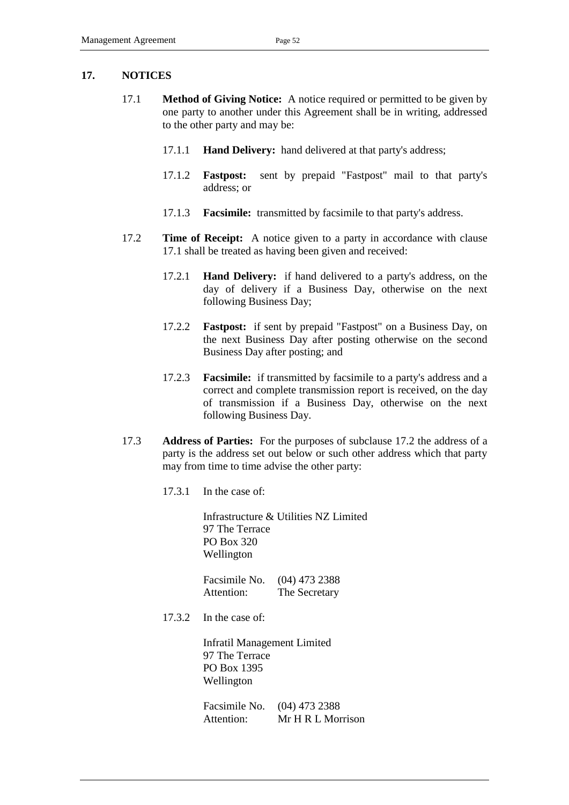#### <span id="page-55-0"></span>**17. NOTICES**

- 17.1 **Method of Giving Notice:** A notice required or permitted to be given by one party to another under this Agreement shall be in writing, addressed to the other party and may be:
	- 17.1.1 **Hand Delivery:** hand delivered at that party's address;
	- 17.1.2 **Fastpost:** sent by prepaid "Fastpost" mail to that party's address; or
	- 17.1.3 **Facsimile:** transmitted by facsimile to that party's address.
- <span id="page-55-1"></span>17.2 **Time of Receipt:** A notice given to a party in accordance with clause [17.1](#page-55-0) shall be treated as having been given and received:
	- 17.2.1 **Hand Delivery:** if hand delivered to a party's address, on the day of delivery if a Business Day, otherwise on the next following Business Day;
	- 17.2.2 **Fastpost:** if sent by prepaid "Fastpost" on a Business Day, on the next Business Day after posting otherwise on the second Business Day after posting; and
	- 17.2.3 **Facsimile:** if transmitted by facsimile to a party's address and a correct and complete transmission report is received, on the day of transmission if a Business Day, otherwise on the next following Business Day.
- 17.3 **Address of Parties:** For the purposes of subclause [17.2](#page-55-1) the address of a party is the address set out below or such other address which that party may from time to time advise the other party:
	- 17.3.1 In the case of:

Infrastructure & Utilities NZ Limited 97 The Terrace PO Box 320 Wellington

Facsimile No. (04) 473 2388 Attention: The Secretary

17.3.2 In the case of:

Infratil Management Limited 97 The Terrace PO Box 1395 Wellington

Facsimile No. (04) 473 2388 Attention: Mr H R L Morrison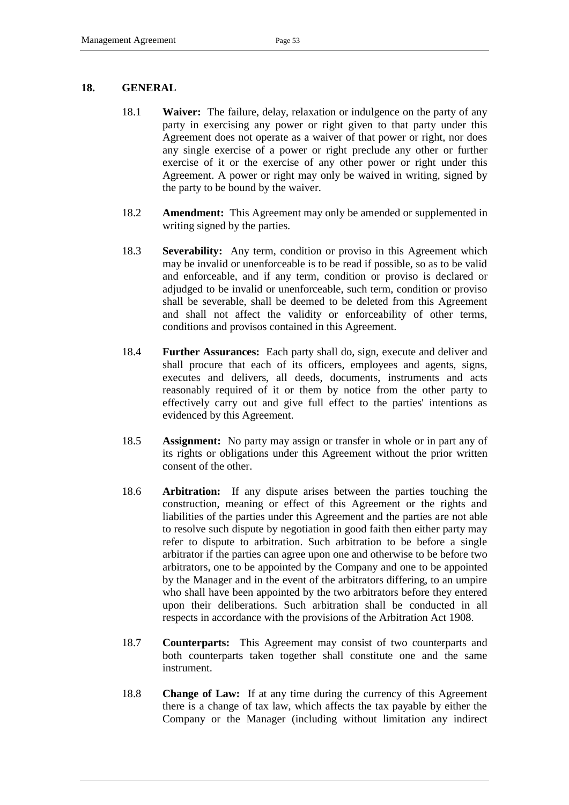#### **18. GENERAL**

- 18.1 **Waiver:** The failure, delay, relaxation or indulgence on the party of any party in exercising any power or right given to that party under this Agreement does not operate as a waiver of that power or right, nor does any single exercise of a power or right preclude any other or further exercise of it or the exercise of any other power or right under this Agreement. A power or right may only be waived in writing, signed by the party to be bound by the waiver.
- 18.2 **Amendment:** This Agreement may only be amended or supplemented in writing signed by the parties.
- 18.3 **Severability:** Any term, condition or proviso in this Agreement which may be invalid or unenforceable is to be read if possible, so as to be valid and enforceable, and if any term, condition or proviso is declared or adjudged to be invalid or unenforceable, such term, condition or proviso shall be severable, shall be deemed to be deleted from this Agreement and shall not affect the validity or enforceability of other terms, conditions and provisos contained in this Agreement.
- 18.4 **Further Assurances:** Each party shall do, sign, execute and deliver and shall procure that each of its officers, employees and agents, signs, executes and delivers, all deeds, documents, instruments and acts reasonably required of it or them by notice from the other party to effectively carry out and give full effect to the parties' intentions as evidenced by this Agreement.
- 18.5 **Assignment:** No party may assign or transfer in whole or in part any of its rights or obligations under this Agreement without the prior written consent of the other.
- <span id="page-56-0"></span>18.6 **Arbitration:** If any dispute arises between the parties touching the construction, meaning or effect of this Agreement or the rights and liabilities of the parties under this Agreement and the parties are not able to resolve such dispute by negotiation in good faith then either party may refer to dispute to arbitration. Such arbitration to be before a single arbitrator if the parties can agree upon one and otherwise to be before two arbitrators, one to be appointed by the Company and one to be appointed by the Manager and in the event of the arbitrators differing, to an umpire who shall have been appointed by the two arbitrators before they entered upon their deliberations. Such arbitration shall be conducted in all respects in accordance with the provisions of the Arbitration Act 1908.
- 18.7 **Counterparts:** This Agreement may consist of two counterparts and both counterparts taken together shall constitute one and the same instrument.
- 18.8 **Change of Law:** If at any time during the currency of this Agreement there is a change of tax law, which affects the tax payable by either the Company or the Manager (including without limitation any indirect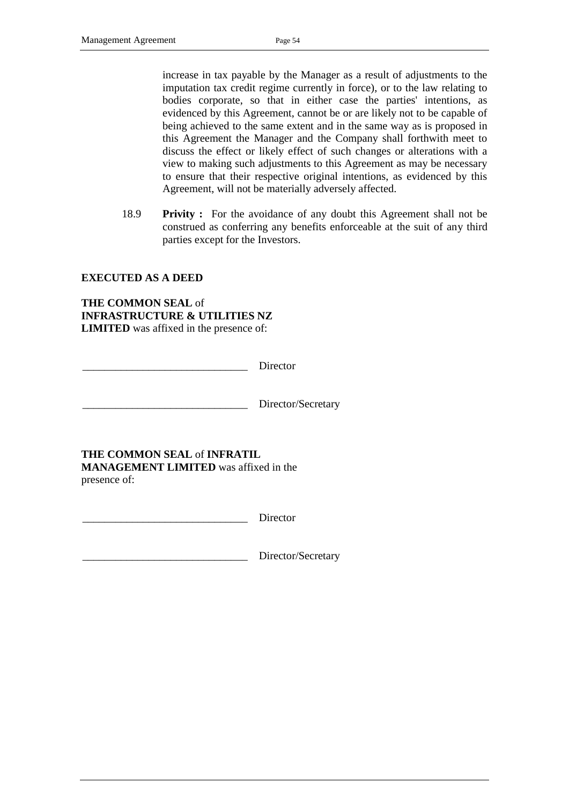increase in tax payable by the Manager as a result of adjustments to the imputation tax credit regime currently in force), or to the law relating to bodies corporate, so that in either case the parties' intentions, as evidenced by this Agreement, cannot be or are likely not to be capable of being achieved to the same extent and in the same way as is proposed in this Agreement the Manager and the Company shall forthwith meet to discuss the effect or likely effect of such changes or alterations with a view to making such adjustments to this Agreement as may be necessary to ensure that their respective original intentions, as evidenced by this Agreement, will not be materially adversely affected.

18.9 **Privity :** For the avoidance of any doubt this Agreement shall not be construed as conferring any benefits enforceable at the suit of any third parties except for the Investors.

#### **EXECUTED AS A DEED**

**THE COMMON SEAL** of **INFRASTRUCTURE & UTILITIES NZ LIMITED** was affixed in the presence of:

Director

Director/Secretary

**THE COMMON SEAL** of **INFRATIL** 

**MANAGEMENT LIMITED** was affixed in the presence of:

Director

Director/Secretary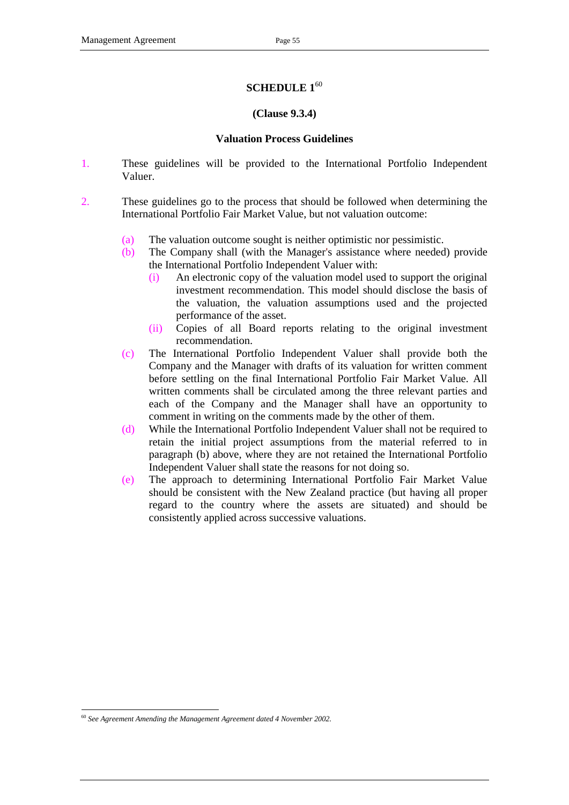## **SCHEDULE 1**<sup>60</sup>

#### **(Clause 9.3.4)**

#### **Valuation Process Guidelines**

- 1. These guidelines will be provided to the International Portfolio Independent Valuer.
- 2. These guidelines go to the process that should be followed when determining the International Portfolio Fair Market Value, but not valuation outcome:
	- (a) The valuation outcome sought is neither optimistic nor pessimistic.
	- (b) The Company shall (with the Manager's assistance where needed) provide the International Portfolio Independent Valuer with:
		- (i) An electronic copy of the valuation model used to support the original investment recommendation. This model should disclose the basis of the valuation, the valuation assumptions used and the projected performance of the asset.
		- (ii) Copies of all Board reports relating to the original investment recommendation.
	- (c) The International Portfolio Independent Valuer shall provide both the Company and the Manager with drafts of its valuation for written comment before settling on the final International Portfolio Fair Market Value. All written comments shall be circulated among the three relevant parties and each of the Company and the Manager shall have an opportunity to comment in writing on the comments made by the other of them.
	- (d) While the International Portfolio Independent Valuer shall not be required to retain the initial project assumptions from the material referred to in paragraph (b) above, where they are not retained the International Portfolio Independent Valuer shall state the reasons for not doing so.
	- (e) The approach to determining International Portfolio Fair Market Value should be consistent with the New Zealand practice (but having all proper regard to the country where the assets are situated) and should be consistently applied across successive valuations.

<sup>-</sup><sup>60</sup> *See Agreement Amending the Management Agreement dated 4 November 2002.*